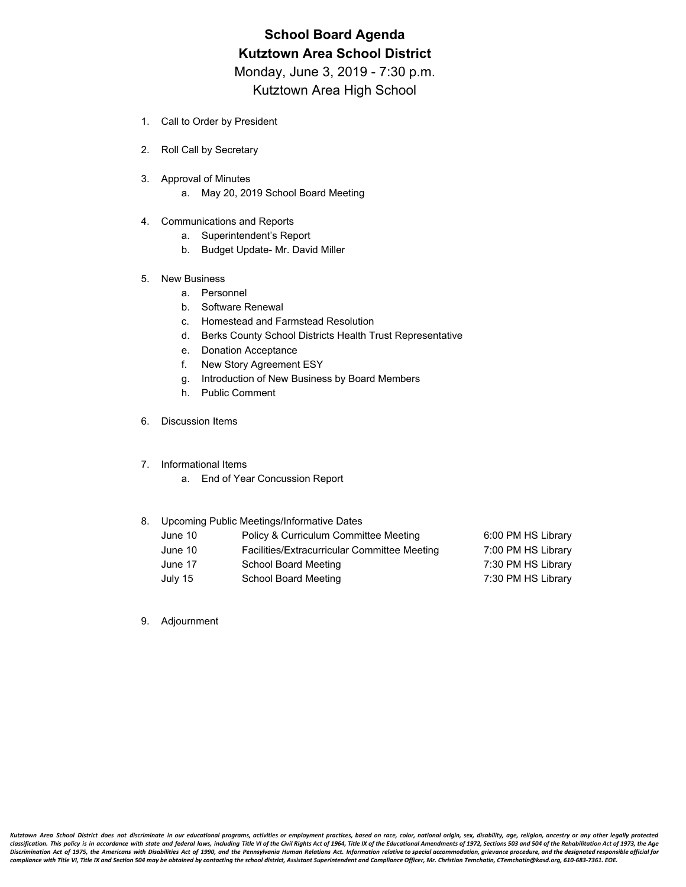# **School Board Agenda Kutztown Area School District**

Monday, June 3, 2019 - 7:30 p.m.

Kutztown Area High School

- 1. Call to Order by President
- 2. Roll Call by Secretary
- 3. Approval of Minutes
	- a. May 20, 2019 School Board Meeting
- 4. Communications and Reports
	- a. Superintendent's Report
	- b. Budget Update- Mr. David Miller
- 5. New Business
	- a. Personnel
	- b. Software Renewal
	- c. Homestead and Farmstead Resolution
	- d. Berks County School Districts Health Trust Representative
	- e. Donation Acceptance
	- f. New Story Agreement ESY
	- g. Introduction of New Business by Board Members
	- h. Public Comment
- 6. Discussion Items
- 7. Informational Items
	- a. End of Year Concussion Report

#### 8. Upcoming Public Meetings/Informative Dates

| June 10 | Policy & Curriculum Committee Meeting        | 6:00 PM HS Library |
|---------|----------------------------------------------|--------------------|
| June 10 | Facilities/Extracurricular Committee Meeting | 7:00 PM HS Library |
| June 17 | School Board Meeting                         | 7:30 PM HS Library |
| July 15 | School Board Meeting                         | 7:30 PM HS Library |

9. Adjournment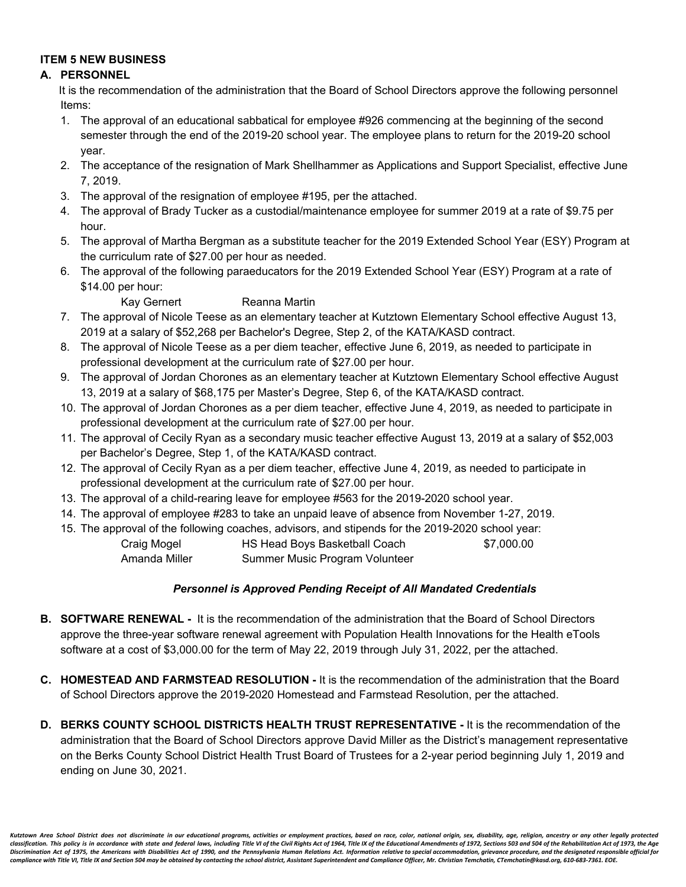# **ITEM 5 NEW BUSINESS**

# **A. PERSONNEL**

It is the recommendation of the administration that the Board of School Directors approve the following personnel Items:

- 1. The approval of an educational sabbatical for employee #926 commencing at the beginning of the second semester through the end of the 2019-20 school year. The employee plans to return for the 2019-20 school year.
- 2. The acceptance of the resignation of Mark Shellhammer as Applications and Support Specialist, effective June 7, 2019.
- 3. The approval of the resignation of employee #195, per the attached.
- 4. The approval of Brady Tucker as a custodial/maintenance employee for summer 2019 at a rate of \$9.75 per hour.
- 5. The approval of Martha Bergman as a substitute teacher for the 2019 Extended School Year (ESY) Program at the curriculum rate of \$27.00 per hour as needed.
- 6. The approval of the following paraeducators for the 2019 Extended School Year (ESY) Program at a rate of \$14.00 per hour:

Kay Gernert Reanna Martin

- 7. The approval of Nicole Teese as an elementary teacher at Kutztown Elementary School effective August 13, 2019 at a salary of \$52,268 per Bachelor's Degree, Step 2, of the KATA/KASD contract.
- 8. The approval of Nicole Teese as a per diem teacher, effective June 6, 2019, as needed to participate in professional development at the curriculum rate of \$27.00 per hour.
- 9. The approval of Jordan Chorones as an elementary teacher at Kutztown Elementary School effective August 13, 2019 at a salary of \$68,175 per Master's Degree, Step 6, of the KATA/KASD contract.
- 10. The approval of Jordan Chorones as a per diem teacher, effective June 4, 2019, as needed to participate in professional development at the curriculum rate of \$27.00 per hour.
- 11. The approval of Cecily Ryan as a secondary music teacher effective August 13, 2019 at a salary of \$52,003 per Bachelor's Degree, Step 1, of the KATA/KASD contract.
- 12. The approval of Cecily Ryan as a per diem teacher, effective June 4, 2019, as needed to participate in professional development at the curriculum rate of \$27.00 per hour.
- 13. The approval of a child-rearing leave for employee #563 for the 2019-2020 school year.
- 14. The approval of employee #283 to take an unpaid leave of absence from November 1-27, 2019.
- 15. The approval of the following coaches, advisors, and stipends for the 2019-2020 school year:

| Craig Mogel   | HS Head Boys Basketball Coach  | \$7,000.00 |
|---------------|--------------------------------|------------|
| Amanda Miller | Summer Music Program Volunteer |            |

### *Personnel is Approved Pending Receipt of All Mandated Credentials*

- **B. SOFTWARE RENEWAL -** It is the recommendation of the administration that the Board of School Directors approve the three-year software renewal agreement with Population Health Innovations for the Health eTools software at a cost of \$3,000.00 for the term of May 22, 2019 through July 31, 2022, per the attached.
- **C. HOMESTEAD AND FARMSTEAD RESOLUTION -** It is the recommendation of the administration that the Board of School Directors approve the 2019-2020 Homestead and Farmstead Resolution, per the attached.
- **D. BERKS COUNTY SCHOOL DISTRICTS HEALTH TRUST REPRESENTATIVE -** It is the recommendation of the administration that the Board of School Directors approve David Miller as the District's management representative on the Berks County School District Health Trust Board of Trustees for a 2-year period beginning July 1, 2019 and ending on June 30, 2021.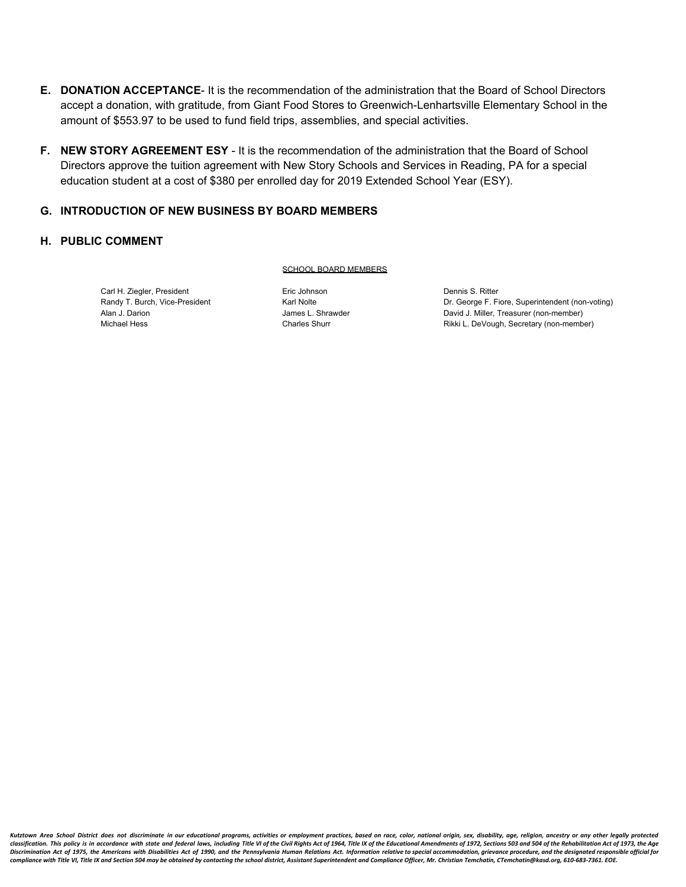- **E. DONATION ACCEPTANCE** It is the recommendation of the administration that the Board of School Directors accept a donation, with gratitude, from Giant Food Stores to Greenwich-Lenhartsville Elementary School in the amount of \$553.97 to be used to fund field trips, assemblies, and special activities.
- **F. NEW STORY AGREEMENT ESY** It is the recommendation of the administration that the Board of School Directors approve the tuition agreement with New Story Schools and Services in Reading, PA for a special education student at a cost of \$380 per enrolled day for 2019 Extended School Year (ESY).

#### **G. INTRODUCTION OF NEW BUSINESS BY BOARD MEMBERS**

### **H. PUBLIC COMMENT**

#### SCHOOL BOARD MEMBERS

Carl H. Ziegler, President **Eric Johnson** Eric Johnson Dennis S. Ritter

Randy T. Burch, Vice-President **Example 20** Karl Nolte **Carl Constanting** Dr. George F. Fiore, Superintendent (non-voting) Alan J. Darion **Marion Communist Communist Communist Communist Communist Communist Communist Communist Communist Communist Communist Communist Communist Communist Communist Communist Communist Communist Communist Communist** Michael Hess **Charles Shurr** Charles Shurr Rikki L. DeVough, Secretary (non-member)

Kutztown Area School District does not discriminate in our educational programs, activities or employment practices, based on race, color, national origin, sex, disability, age, religion, ancestry or any other legally prot classification. This policy is in accordance with state and federal laws, including Title VI of the Civil Rights Act of 1964, Title IX of the Educational Amendments of 1972, Sections 503 and 504 of the Rehabilitation Act o Discrimination Act of 1975, the Americans with Disabilities Act of 1990, and the Pennsylvania Human Relations Act. Information relative to special accommodation, grievance procedure, and the designated responsible official *compliance with Title VI, Title IX and Section 504 may be obtained by contacting the school district, Assistant Superintendent and Compliance Officer, Mr. Christian Temchatin, CTemchatin@kasd.org, 610-683-7361. EOE.*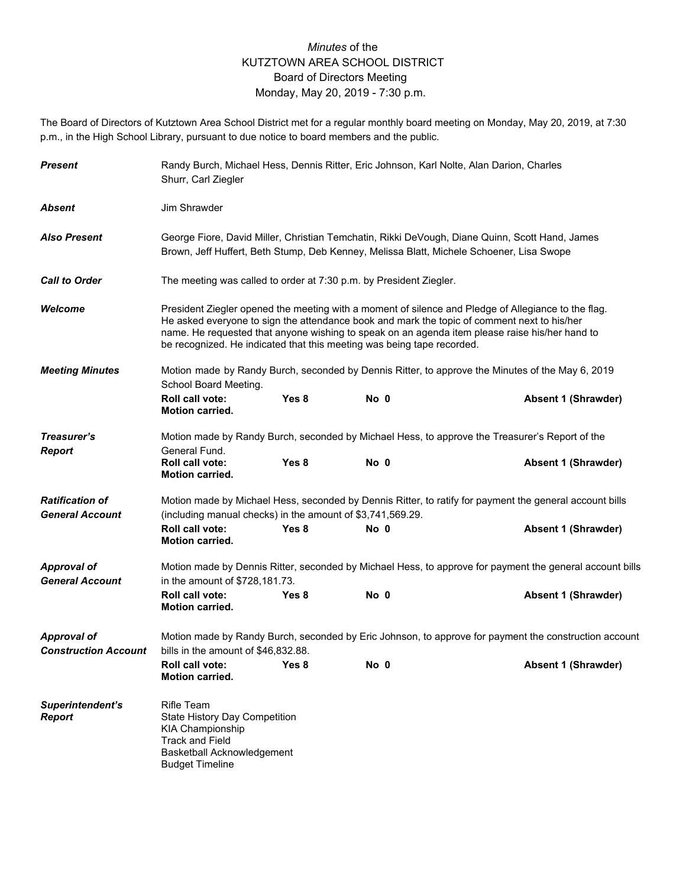# *Minutes* of the KUTZTOWN AREA SCHOOL DISTRICT Board of Directors Meeting Monday, May 20, 2019 - 7:30 p.m.

The Board of Directors of Kutztown Area School District met for a regular monthly board meeting on Monday, May 20, 2019, at 7:30 p.m., in the High School Library, pursuant to due notice to board members and the public.

| <b>Present</b>                               | Shurr, Carl Ziegler                                                                                                                                             |                                                                                                                                                                                                                                                                                                                                                                                | Randy Burch, Michael Hess, Dennis Ritter, Eric Johnson, Karl Nolte, Alan Darion, Charles |                                                                                                                                                                                            |  |  |  |
|----------------------------------------------|-----------------------------------------------------------------------------------------------------------------------------------------------------------------|--------------------------------------------------------------------------------------------------------------------------------------------------------------------------------------------------------------------------------------------------------------------------------------------------------------------------------------------------------------------------------|------------------------------------------------------------------------------------------|--------------------------------------------------------------------------------------------------------------------------------------------------------------------------------------------|--|--|--|
| Absent                                       | Jim Shrawder                                                                                                                                                    |                                                                                                                                                                                                                                                                                                                                                                                |                                                                                          |                                                                                                                                                                                            |  |  |  |
| <b>Also Present</b>                          |                                                                                                                                                                 |                                                                                                                                                                                                                                                                                                                                                                                |                                                                                          | George Fiore, David Miller, Christian Temchatin, Rikki DeVough, Diane Quinn, Scott Hand, James<br>Brown, Jeff Huffert, Beth Stump, Deb Kenney, Melissa Blatt, Michele Schoener, Lisa Swope |  |  |  |
| <b>Call to Order</b>                         |                                                                                                                                                                 | The meeting was called to order at 7:30 p.m. by President Ziegler.                                                                                                                                                                                                                                                                                                             |                                                                                          |                                                                                                                                                                                            |  |  |  |
| Welcome                                      |                                                                                                                                                                 | President Ziegler opened the meeting with a moment of silence and Pledge of Allegiance to the flag.<br>He asked everyone to sign the attendance book and mark the topic of comment next to his/her<br>name. He requested that anyone wishing to speak on an agenda item please raise his/her hand to<br>be recognized. He indicated that this meeting was being tape recorded. |                                                                                          |                                                                                                                                                                                            |  |  |  |
| <b>Meeting Minutes</b>                       | School Board Meeting.                                                                                                                                           |                                                                                                                                                                                                                                                                                                                                                                                |                                                                                          | Motion made by Randy Burch, seconded by Dennis Ritter, to approve the Minutes of the May 6, 2019                                                                                           |  |  |  |
|                                              | Roll call vote:<br><b>Motion carried.</b>                                                                                                                       | Yes 8                                                                                                                                                                                                                                                                                                                                                                          | No 0                                                                                     | Absent 1 (Shrawder)                                                                                                                                                                        |  |  |  |
| Treasurer's                                  |                                                                                                                                                                 |                                                                                                                                                                                                                                                                                                                                                                                |                                                                                          | Motion made by Randy Burch, seconded by Michael Hess, to approve the Treasurer's Report of the                                                                                             |  |  |  |
| <b>Report</b>                                | General Fund.<br><b>Roll call vote:</b><br><b>Motion carried.</b>                                                                                               | Yes 8                                                                                                                                                                                                                                                                                                                                                                          | No 0                                                                                     | <b>Absent 1 (Shrawder)</b>                                                                                                                                                                 |  |  |  |
| <b>Ratification of</b>                       |                                                                                                                                                                 |                                                                                                                                                                                                                                                                                                                                                                                |                                                                                          | Motion made by Michael Hess, seconded by Dennis Ritter, to ratify for payment the general account bills                                                                                    |  |  |  |
| <b>General Account</b>                       | (including manual checks) in the amount of \$3,741,569.29.                                                                                                      |                                                                                                                                                                                                                                                                                                                                                                                |                                                                                          |                                                                                                                                                                                            |  |  |  |
|                                              | Roll call vote:<br><b>Motion carried.</b>                                                                                                                       | Yes 8                                                                                                                                                                                                                                                                                                                                                                          | No 0                                                                                     | Absent 1 (Shrawder)                                                                                                                                                                        |  |  |  |
| <b>Approval of</b><br><b>General Account</b> | in the amount of \$728,181.73.                                                                                                                                  |                                                                                                                                                                                                                                                                                                                                                                                |                                                                                          | Motion made by Dennis Ritter, seconded by Michael Hess, to approve for payment the general account bills                                                                                   |  |  |  |
|                                              | <b>Roll call vote:</b><br><b>Motion carried.</b>                                                                                                                | Yes 8                                                                                                                                                                                                                                                                                                                                                                          | No 0                                                                                     | Absent 1 (Shrawder)                                                                                                                                                                        |  |  |  |
| <b>Approval of</b>                           |                                                                                                                                                                 |                                                                                                                                                                                                                                                                                                                                                                                |                                                                                          | Motion made by Randy Burch, seconded by Eric Johnson, to approve for payment the construction account                                                                                      |  |  |  |
| <b>Construction Account</b>                  | bills in the amount of \$46,832.88.                                                                                                                             |                                                                                                                                                                                                                                                                                                                                                                                |                                                                                          |                                                                                                                                                                                            |  |  |  |
|                                              | Roll call vote:<br><b>Motion carried.</b>                                                                                                                       | Yes 8                                                                                                                                                                                                                                                                                                                                                                          | No 0                                                                                     | <b>Absent 1 (Shrawder)</b>                                                                                                                                                                 |  |  |  |
| Superintendent's<br><b>Report</b>            | <b>Rifle Team</b><br>State History Day Competition<br><b>KIA Championship</b><br><b>Track and Field</b><br>Basketball Acknowledgement<br><b>Budget Timeline</b> |                                                                                                                                                                                                                                                                                                                                                                                |                                                                                          |                                                                                                                                                                                            |  |  |  |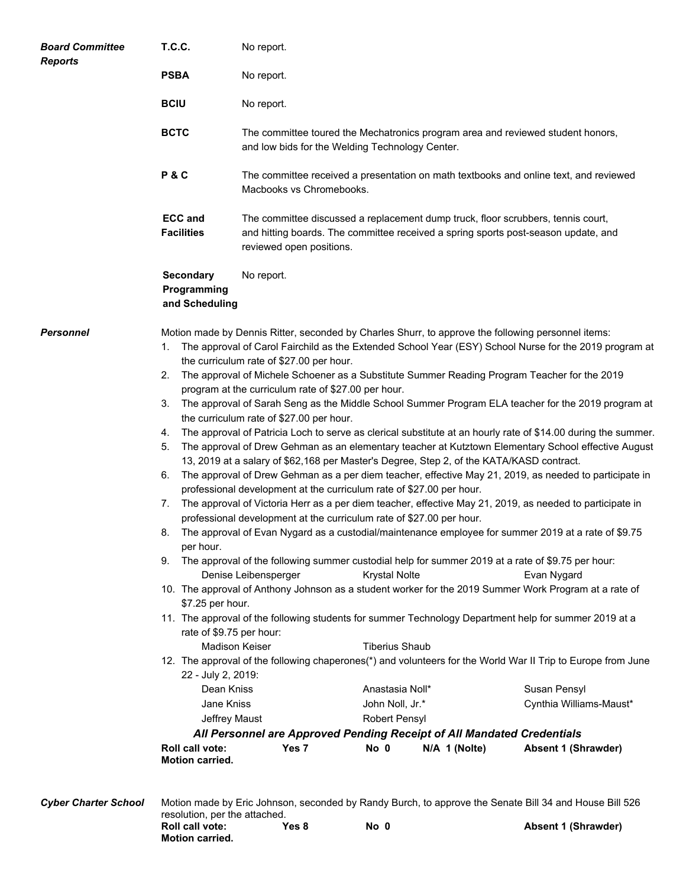| <b>Board Committee</b>      | <b>T.C.C.</b>                                                                                                                                                                                                                    | No report.                                                                                                                                                                                                                                                                                                                                                                                                                                                                                                                                                                                                                                                                                                                                                                                                                                |                                                                                                              |               |                                                                                                                                                                                                                                                                                                                                                                                                                                                                                                                                                                                                                                                                                                                                                                                                                                                                                                                                                                                                                                                                                                                                                                                             |
|-----------------------------|----------------------------------------------------------------------------------------------------------------------------------------------------------------------------------------------------------------------------------|-------------------------------------------------------------------------------------------------------------------------------------------------------------------------------------------------------------------------------------------------------------------------------------------------------------------------------------------------------------------------------------------------------------------------------------------------------------------------------------------------------------------------------------------------------------------------------------------------------------------------------------------------------------------------------------------------------------------------------------------------------------------------------------------------------------------------------------------|--------------------------------------------------------------------------------------------------------------|---------------|---------------------------------------------------------------------------------------------------------------------------------------------------------------------------------------------------------------------------------------------------------------------------------------------------------------------------------------------------------------------------------------------------------------------------------------------------------------------------------------------------------------------------------------------------------------------------------------------------------------------------------------------------------------------------------------------------------------------------------------------------------------------------------------------------------------------------------------------------------------------------------------------------------------------------------------------------------------------------------------------------------------------------------------------------------------------------------------------------------------------------------------------------------------------------------------------|
| <b>Reports</b>              | <b>PSBA</b>                                                                                                                                                                                                                      | No report.                                                                                                                                                                                                                                                                                                                                                                                                                                                                                                                                                                                                                                                                                                                                                                                                                                |                                                                                                              |               |                                                                                                                                                                                                                                                                                                                                                                                                                                                                                                                                                                                                                                                                                                                                                                                                                                                                                                                                                                                                                                                                                                                                                                                             |
|                             | <b>BCIU</b>                                                                                                                                                                                                                      | No report.                                                                                                                                                                                                                                                                                                                                                                                                                                                                                                                                                                                                                                                                                                                                                                                                                                |                                                                                                              |               |                                                                                                                                                                                                                                                                                                                                                                                                                                                                                                                                                                                                                                                                                                                                                                                                                                                                                                                                                                                                                                                                                                                                                                                             |
|                             | <b>BCTC</b>                                                                                                                                                                                                                      | The committee toured the Mechatronics program area and reviewed student honors,<br>and low bids for the Welding Technology Center.                                                                                                                                                                                                                                                                                                                                                                                                                                                                                                                                                                                                                                                                                                        |                                                                                                              |               |                                                                                                                                                                                                                                                                                                                                                                                                                                                                                                                                                                                                                                                                                                                                                                                                                                                                                                                                                                                                                                                                                                                                                                                             |
|                             | P&C                                                                                                                                                                                                                              | Macbooks vs Chromebooks.                                                                                                                                                                                                                                                                                                                                                                                                                                                                                                                                                                                                                                                                                                                                                                                                                  |                                                                                                              |               | The committee received a presentation on math textbooks and online text, and reviewed                                                                                                                                                                                                                                                                                                                                                                                                                                                                                                                                                                                                                                                                                                                                                                                                                                                                                                                                                                                                                                                                                                       |
|                             | <b>ECC and</b><br><b>Facilities</b>                                                                                                                                                                                              | The committee discussed a replacement dump truck, floor scrubbers, tennis court,<br>and hitting boards. The committee received a spring sports post-season update, and<br>reviewed open positions.                                                                                                                                                                                                                                                                                                                                                                                                                                                                                                                                                                                                                                        |                                                                                                              |               |                                                                                                                                                                                                                                                                                                                                                                                                                                                                                                                                                                                                                                                                                                                                                                                                                                                                                                                                                                                                                                                                                                                                                                                             |
|                             | <b>Secondary</b><br>Programming<br>and Scheduling                                                                                                                                                                                | No report.                                                                                                                                                                                                                                                                                                                                                                                                                                                                                                                                                                                                                                                                                                                                                                                                                                |                                                                                                              |               |                                                                                                                                                                                                                                                                                                                                                                                                                                                                                                                                                                                                                                                                                                                                                                                                                                                                                                                                                                                                                                                                                                                                                                                             |
| <b>Personnel</b>            | 1.<br>2.<br>3.<br>4.<br>5.<br>6.<br>7.<br>8.<br>per hour.<br>\$7.25 per hour.<br>rate of \$9.75 per hour:<br>22 - July 2, 2019:<br>Dean Kniss<br>Jane Kniss<br>Jeffrey Maust<br><b>Roll call vote:</b><br><b>Motion carried.</b> | Motion made by Dennis Ritter, seconded by Charles Shurr, to approve the following personnel items:<br>the curriculum rate of \$27.00 per hour.<br>The approval of Michele Schoener as a Substitute Summer Reading Program Teacher for the 2019<br>program at the curriculum rate of \$27.00 per hour.<br>the curriculum rate of \$27.00 per hour.<br>13, 2019 at a salary of \$62,168 per Master's Degree, Step 2, of the KATA/KASD contract.<br>professional development at the curriculum rate of \$27.00 per hour.<br>professional development at the curriculum rate of \$27.00 per hour.<br>9. The approval of the following summer custodial help for summer 2019 at a rate of \$9.75 per hour:<br>Denise Leibensperger<br><b>Madison Keiser</b><br>All Personnel are Approved Pending Receipt of All Mandated Credentials<br>Yes 7 | <b>Krystal Nolte</b><br><b>Tiberius Shaub</b><br>Anastasia Noll*<br>John Noll, Jr.*<br>Robert Pensyl<br>No 0 | N/A 1 (Nolte) | The approval of Carol Fairchild as the Extended School Year (ESY) School Nurse for the 2019 program at<br>The approval of Sarah Seng as the Middle School Summer Program ELA teacher for the 2019 program at<br>The approval of Patricia Loch to serve as clerical substitute at an hourly rate of \$14.00 during the summer.<br>The approval of Drew Gehman as an elementary teacher at Kutztown Elementary School effective August<br>The approval of Drew Gehman as a per diem teacher, effective May 21, 2019, as needed to participate in<br>The approval of Victoria Herr as a per diem teacher, effective May 21, 2019, as needed to participate in<br>The approval of Evan Nygard as a custodial/maintenance employee for summer 2019 at a rate of \$9.75<br>Evan Nygard<br>10. The approval of Anthony Johnson as a student worker for the 2019 Summer Work Program at a rate of<br>11. The approval of the following students for summer Technology Department help for summer 2019 at a<br>12. The approval of the following chaperones(*) and volunteers for the World War II Trip to Europe from June<br>Susan Pensyl<br>Cynthia Williams-Maust*<br><b>Absent 1 (Shrawder)</b> |
| <b>Cyber Charter School</b> |                                                                                                                                                                                                                                  |                                                                                                                                                                                                                                                                                                                                                                                                                                                                                                                                                                                                                                                                                                                                                                                                                                           |                                                                                                              |               | Motion made by Eric Johnson, seconded by Randy Burch, to approve the Senate Bill 34 and House Bill 526                                                                                                                                                                                                                                                                                                                                                                                                                                                                                                                                                                                                                                                                                                                                                                                                                                                                                                                                                                                                                                                                                      |

| <b>Cyber Charter School</b> | resolution, per the attached.             |       |      | Motion made by Eric Johnson, seconded by Randy Burch, to approve the Senate Bill 34 and House Bill 526 |
|-----------------------------|-------------------------------------------|-------|------|--------------------------------------------------------------------------------------------------------|
|                             | Roll call vote:<br><b>Motion carried.</b> | Yes 8 | No 0 | <b>Absent 1 (Shrawder)</b>                                                                             |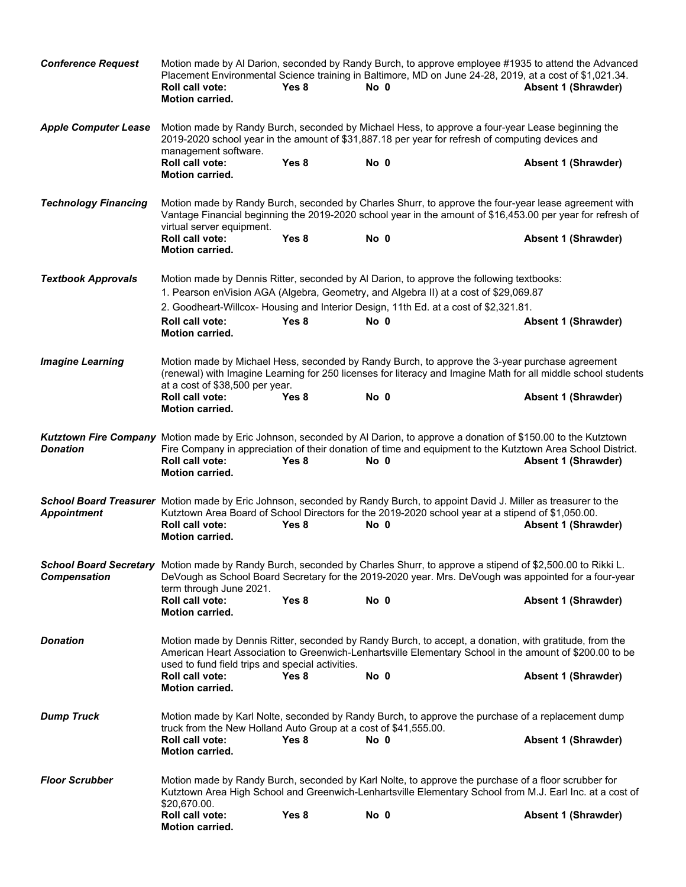| <b>Conference Request</b>   | <b>Roll call vote:</b><br><b>Motion carried.</b>                | Yes 8            | Motion made by Al Darion, seconded by Randy Burch, to approve employee #1935 to attend the Advanced<br>Placement Environmental Science training in Baltimore, MD on June 24-28, 2019, at a cost of \$1,021.34.<br>No 0                            | Absent 1 (Shrawder)        |
|-----------------------------|-----------------------------------------------------------------|------------------|---------------------------------------------------------------------------------------------------------------------------------------------------------------------------------------------------------------------------------------------------|----------------------------|
| <b>Apple Computer Lease</b> | management software.                                            |                  | Motion made by Randy Burch, seconded by Michael Hess, to approve a four-year Lease beginning the<br>2019-2020 school year in the amount of \$31,887.18 per year for refresh of computing devices and                                              |                            |
|                             | Roll call vote:<br><b>Motion carried.</b>                       | Yes 8            | No 0                                                                                                                                                                                                                                              | Absent 1 (Shrawder)        |
| <b>Technology Financing</b> | virtual server equipment.                                       |                  | Motion made by Randy Burch, seconded by Charles Shurr, to approve the four-year lease agreement with<br>Vantage Financial beginning the 2019-2020 school year in the amount of \$16,453.00 per year for refresh of                                |                            |
|                             | Roll call vote:<br><b>Motion carried.</b>                       | Yes 8            | No 0                                                                                                                                                                                                                                              | <b>Absent 1 (Shrawder)</b> |
| <b>Textbook Approvals</b>   |                                                                 |                  | Motion made by Dennis Ritter, seconded by Al Darion, to approve the following textbooks:<br>1. Pearson enVision AGA (Algebra, Geometry, and Algebra II) at a cost of \$29,069.87                                                                  |                            |
|                             |                                                                 |                  | 2. Goodheart-Willcox-Housing and Interior Design, 11th Ed. at a cost of \$2,321.81.                                                                                                                                                               |                            |
|                             | <b>Roll call vote:</b><br><b>Motion carried.</b>                | Yes <sub>8</sub> | No 0                                                                                                                                                                                                                                              | <b>Absent 1 (Shrawder)</b> |
| <b>Imagine Learning</b>     | at a cost of \$38,500 per year.                                 |                  | Motion made by Michael Hess, seconded by Randy Burch, to approve the 3-year purchase agreement<br>(renewal) with Imagine Learning for 250 licenses for literacy and Imagine Math for all middle school students                                   |                            |
|                             | Roll call vote:<br><b>Motion carried.</b>                       | Yes <sub>8</sub> | No <sub>0</sub>                                                                                                                                                                                                                                   | <b>Absent 1 (Shrawder)</b> |
| <b>Donation</b>             | Roll call vote:<br><b>Motion carried.</b>                       | Yes 8            | Kutztown Fire Company Motion made by Eric Johnson, seconded by Al Darion, to approve a donation of \$150.00 to the Kutztown<br>Fire Company in appreciation of their donation of time and equipment to the Kutztown Area School District.<br>No 0 | Absent 1 (Shrawder)        |
| <b>Appointment</b>          | Roll call vote:<br><b>Motion carried.</b>                       | Yes 8            | School Board Treasurer Motion made by Eric Johnson, seconded by Randy Burch, to appoint David J. Miller as treasurer to the<br>Kutztown Area Board of School Directors for the 2019-2020 school year at a stipend of \$1,050.00.<br>No 0          | <b>Absent 1 (Shrawder)</b> |
| <b>Compensation</b>         | term through June 2021.                                         |                  | School Board Secretary Motion made by Randy Burch, seconded by Charles Shurr, to approve a stipend of \$2,500.00 to Rikki L.<br>DeVough as School Board Secretary for the 2019-2020 year. Mrs. DeVough was appointed for a four-year              |                            |
|                             | Roll call vote:<br><b>Motion carried.</b>                       | Yes <sub>8</sub> | No 0                                                                                                                                                                                                                                              | Absent 1 (Shrawder)        |
| <b>Donation</b>             | used to fund field trips and special activities.                |                  | Motion made by Dennis Ritter, seconded by Randy Burch, to accept, a donation, with gratitude, from the<br>American Heart Association to Greenwich-Lenhartsville Elementary School in the amount of \$200.00 to be                                 |                            |
|                             | <b>Roll call vote:</b><br>Motion carried.                       | Yes 8            | No 0                                                                                                                                                                                                                                              | <b>Absent 1 (Shrawder)</b> |
| <b>Dump Truck</b>           | truck from the New Holland Auto Group at a cost of \$41,555.00. |                  | Motion made by Karl Nolte, seconded by Randy Burch, to approve the purchase of a replacement dump                                                                                                                                                 |                            |
|                             | <b>Roll call vote:</b><br><b>Motion carried.</b>                | Yes 8            | No 0                                                                                                                                                                                                                                              | <b>Absent 1 (Shrawder)</b> |
| <b>Floor Scrubber</b>       | \$20,670.00.                                                    |                  | Motion made by Randy Burch, seconded by Karl Nolte, to approve the purchase of a floor scrubber for<br>Kutztown Area High School and Greenwich-Lenhartsville Elementary School from M.J. Earl Inc. at a cost of                                   |                            |
|                             | Roll call vote:<br>Motion carried.                              | Yes <sub>8</sub> | No 0                                                                                                                                                                                                                                              | Absent 1 (Shrawder)        |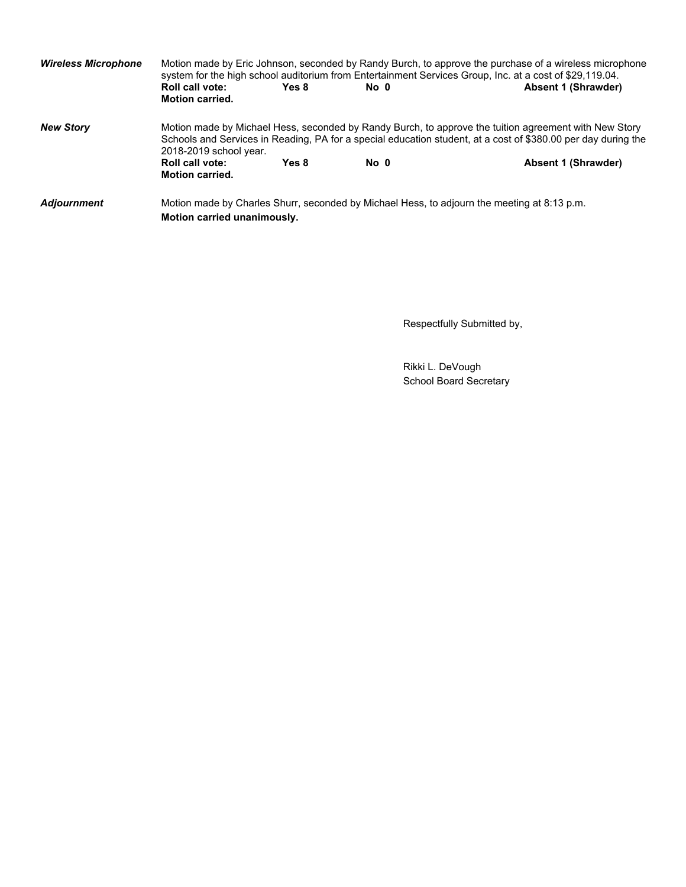| <b>Wireless Microphone</b> | <b>Roll call vote:</b><br><b>Motion carried.</b>                                                                                                                                                                                                 | Yes 8 | No 0 | Motion made by Eric Johnson, seconded by Randy Burch, to approve the purchase of a wireless microphone<br>system for the high school auditorium from Entertainment Services Group, Inc. at a cost of \$29,119.04.<br><b>Absent 1 (Shrawder)</b> |  |
|----------------------------|--------------------------------------------------------------------------------------------------------------------------------------------------------------------------------------------------------------------------------------------------|-------|------|-------------------------------------------------------------------------------------------------------------------------------------------------------------------------------------------------------------------------------------------------|--|
| <b>New Story</b>           | Motion made by Michael Hess, seconded by Randy Burch, to approve the tuition agreement with New Story<br>Schools and Services in Reading, PA for a special education student, at a cost of \$380.00 per day during the<br>2018-2019 school year. |       |      |                                                                                                                                                                                                                                                 |  |
|                            | Roll call vote:<br><b>Motion carried.</b>                                                                                                                                                                                                        | Yes 8 | No 0 | Absent 1 (Shrawder)                                                                                                                                                                                                                             |  |
| <b>Adjournment</b>         | Motion carried unanimously.                                                                                                                                                                                                                      |       |      | Motion made by Charles Shurr, seconded by Michael Hess, to adjourn the meeting at 8:13 p.m.                                                                                                                                                     |  |

Respectfully Submitted by,

Rikki L. DeVough School Board Secretary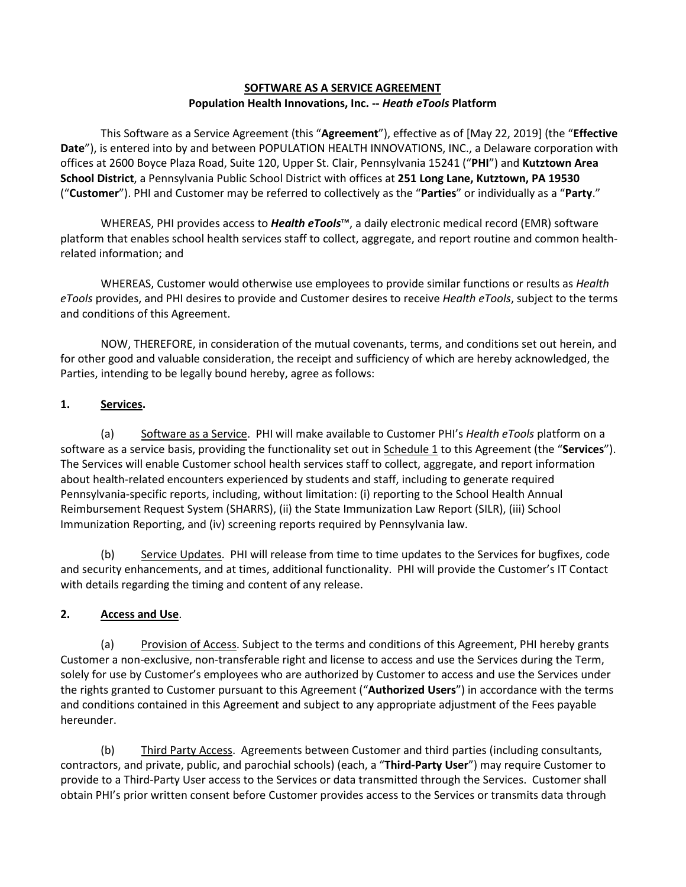### **SOFTWARE AS A SERVICE AGREEMENT Population Health Innovations, Inc. --** *Heath eTools* **Platform**

This Software as a Service Agreement (this "**Agreement**"), effective as of [May 22, 2019] (the "**Effective Date**"), is entered into by and between POPULATION HEALTH INNOVATIONS, INC., a Delaware corporation with offices at 2600 Boyce Plaza Road, Suite 120, Upper St. Clair, Pennsylvania 15241 ("**PHI**") and **Kutztown Area School District**, a Pennsylvania Public School District with offices at **251 Long Lane, Kutztown, PA 19530** ("**Customer**"). PHI and Customer may be referred to collectively as the "**Parties**" or individually as a "**Party**."

WHEREAS, PHI provides access to *Health eTools*™, a daily electronic medical record (EMR) software platform that enables school health services staff to collect, aggregate, and report routine and common healthrelated information; and

WHEREAS, Customer would otherwise use employees to provide similar functions or results as *Health eTools* provides, and PHI desires to provide and Customer desires to receive *Health eTools*, subject to the terms and conditions of this Agreement.

NOW, THEREFORE, in consideration of the mutual covenants, terms, and conditions set out herein, and for other good and valuable consideration, the receipt and sufficiency of which are hereby acknowledged, the Parties, intending to be legally bound hereby, agree as follows:

# **1. Services.**

(a) Software as a Service. PHI will make available to Customer PHI's *Health eTools* platform on a software as a service basis, providing the functionality set out in Schedule 1 to this Agreement (the "**Services**"). The Services will enable Customer school health services staff to collect, aggregate, and report information about health-related encounters experienced by students and staff, including to generate required Pennsylvania-specific reports, including, without limitation: (i) reporting to the School Health Annual Reimbursement Request System (SHARRS), (ii) the State Immunization Law Report (SILR), (iii) School Immunization Reporting, and (iv) screening reports required by Pennsylvania law.

(b) Service Updates. PHI will release from time to time updates to the Services for bugfixes, code and security enhancements, and at times, additional functionality. PHI will provide the Customer's IT Contact with details regarding the timing and content of any release.

# **2. Access and Use**.

(a) Provision of Access. Subject to the terms and conditions of this Agreement, PHI hereby grants Customer a non-exclusive, non-transferable right and license to access and use the Services during the Term, solely for use by Customer's employees who are authorized by Customer to access and use the Services under the rights granted to Customer pursuant to this Agreement ("**Authorized Users**") in accordance with the terms and conditions contained in this Agreement and subject to any appropriate adjustment of the Fees payable hereunder.

(b) Third Party Access. Agreements between Customer and third parties (including consultants, contractors, and private, public, and parochial schools) (each, a "**Third-Party User**") may require Customer to provide to a Third-Party User access to the Services or data transmitted through the Services. Customer shall obtain PHI's prior written consent before Customer provides access to the Services or transmits data through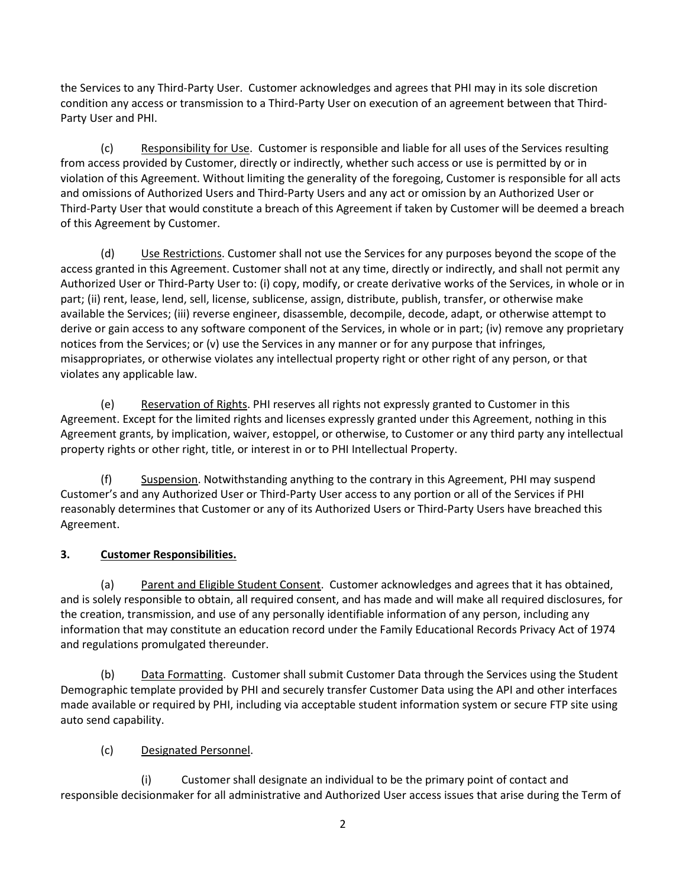the Services to any Third-Party User. Customer acknowledges and agrees that PHI may in its sole discretion condition any access or transmission to a Third-Party User on execution of an agreement between that Third-Party User and PHI.

(c) Responsibility for Use. Customer is responsible and liable for all uses of the Services resulting from access provided by Customer, directly or indirectly, whether such access or use is permitted by or in violation of this Agreement. Without limiting the generality of the foregoing, Customer is responsible for all acts and omissions of Authorized Users and Third-Party Users and any act or omission by an Authorized User or Third-Party User that would constitute a breach of this Agreement if taken by Customer will be deemed a breach of this Agreement by Customer.

(d) Use Restrictions. Customer shall not use the Services for any purposes beyond the scope of the access granted in this Agreement. Customer shall not at any time, directly or indirectly, and shall not permit any Authorized User or Third-Party User to: (i) copy, modify, or create derivative works of the Services, in whole or in part; (ii) rent, lease, lend, sell, license, sublicense, assign, distribute, publish, transfer, or otherwise make available the Services; (iii) reverse engineer, disassemble, decompile, decode, adapt, or otherwise attempt to derive or gain access to any software component of the Services, in whole or in part; (iv) remove any proprietary notices from the Services; or (v) use the Services in any manner or for any purpose that infringes, misappropriates, or otherwise violates any intellectual property right or other right of any person, or that violates any applicable law.

(e) Reservation of Rights. PHI reserves all rights not expressly granted to Customer in this Agreement. Except for the limited rights and licenses expressly granted under this Agreement, nothing in this Agreement grants, by implication, waiver, estoppel, or otherwise, to Customer or any third party any intellectual property rights or other right, title, or interest in or to PHI Intellectual Property.

(f) Suspension. Notwithstanding anything to the contrary in this Agreement, PHI may suspend Customer's and any Authorized User or Third-Party User access to any portion or all of the Services if PHI reasonably determines that Customer or any of its Authorized Users or Third-Party Users have breached this Agreement.

# **3. Customer Responsibilities.**

(a) Parent and Eligible Student Consent. Customer acknowledges and agrees that it has obtained, and is solely responsible to obtain, all required consent, and has made and will make all required disclosures, for the creation, transmission, and use of any personally identifiable information of any person, including any information that may constitute an education record under the Family Educational Records Privacy Act of 1974 and regulations promulgated thereunder.

(b) Data Formatting. Customer shall submit Customer Data through the Services using the Student Demographic template provided by PHI and securely transfer Customer Data using the API and other interfaces made available or required by PHI, including via acceptable student information system or secure FTP site using auto send capability.

# (c) Designated Personnel.

(i) Customer shall designate an individual to be the primary point of contact and responsible decisionmaker for all administrative and Authorized User access issues that arise during the Term of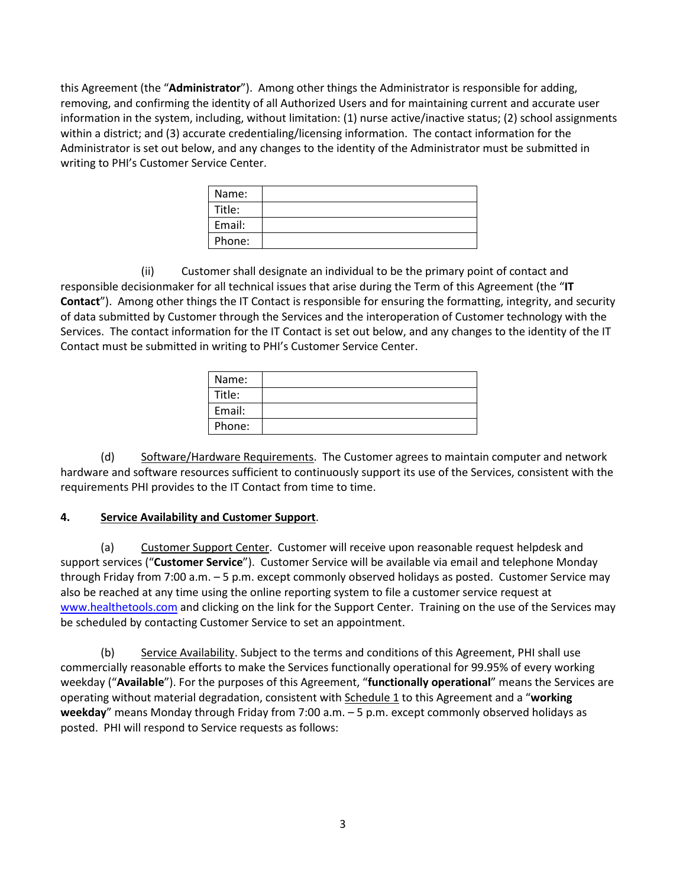this Agreement (the "**Administrator**"). Among other things the Administrator is responsible for adding, removing, and confirming the identity of all Authorized Users and for maintaining current and accurate user information in the system, including, without limitation: (1) nurse active/inactive status; (2) school assignments within a district; and (3) accurate credentialing/licensing information. The contact information for the Administrator is set out below, and any changes to the identity of the Administrator must be submitted in writing to PHI's Customer Service Center.

| Name:  |  |
|--------|--|
| Title: |  |
| Email: |  |
| Phone: |  |

(ii) Customer shall designate an individual to be the primary point of contact and responsible decisionmaker for all technical issues that arise during the Term of this Agreement (the "**IT Contact**"). Among other things the IT Contact is responsible for ensuring the formatting, integrity, and security of data submitted by Customer through the Services and the interoperation of Customer technology with the Services. The contact information for the IT Contact is set out below, and any changes to the identity of the IT Contact must be submitted in writing to PHI's Customer Service Center.

| Name:  |  |
|--------|--|
| Title: |  |
| Email: |  |
| Phone: |  |

(d) Software/Hardware Requirements. The Customer agrees to maintain computer and network hardware and software resources sufficient to continuously support its use of the Services, consistent with the requirements PHI provides to the IT Contact from time to time.

# **4. Service Availability and Customer Support**.

(a) Customer Support Center. Customer will receive upon reasonable request helpdesk and support services ("**Customer Service**"). Customer Service will be available via email and telephone Monday through Friday from 7:00 a.m. – 5 p.m. except commonly observed holidays as posted. Customer Service may also be reached at any time using the online reporting system to file a customer service request at [www.healthetools.com](http://www.healthetools.com/) and clicking on the link for the Support Center. Training on the use of the Services may be scheduled by contacting Customer Service to set an appointment.

(b) Service Availability. Subject to the terms and conditions of this Agreement, PHI shall use commercially reasonable efforts to make the Services functionally operational for 99.95% of every working weekday ("**Available**"). For the purposes of this Agreement, "**functionally operational**" means the Services are operating without material degradation, consistent with Schedule 1 to this Agreement and a "**working weekday**" means Monday through Friday from 7:00 a.m. – 5 p.m. except commonly observed holidays as posted. PHI will respond to Service requests as follows: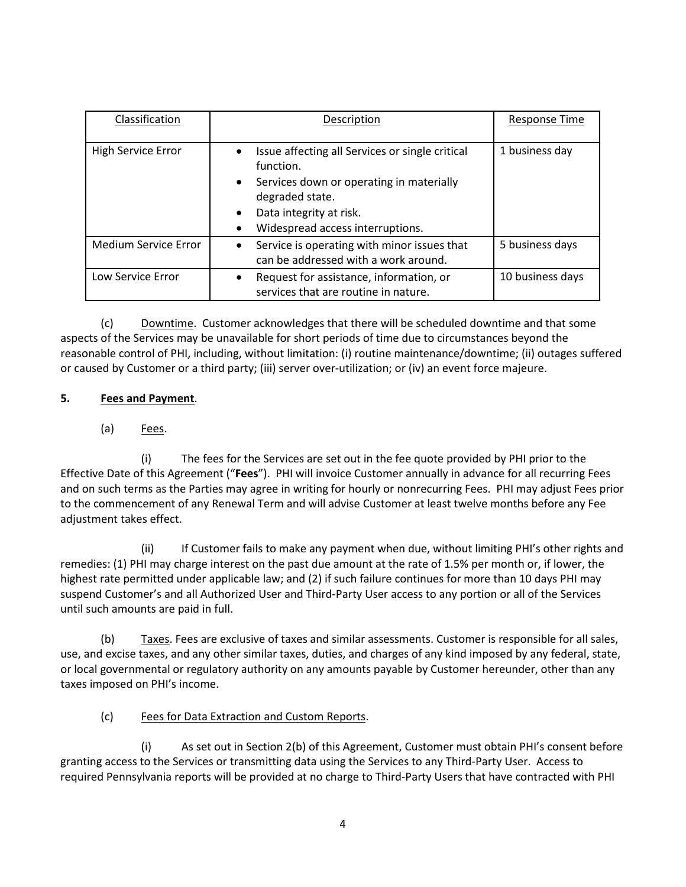| Classification       | Description                                                                                                                                                                                                                       | Response Time    |
|----------------------|-----------------------------------------------------------------------------------------------------------------------------------------------------------------------------------------------------------------------------------|------------------|
| High Service Error   | Issue affecting all Services or single critical<br>$\bullet$<br>function.<br>Services down or operating in materially<br>$\bullet$<br>degraded state.<br>Data integrity at risk.<br>$\bullet$<br>Widespread access interruptions. | 1 business day   |
| Medium Service Error | Service is operating with minor issues that<br>$\bullet$<br>can be addressed with a work around.                                                                                                                                  | 5 business days  |
| Low Service Error    | Request for assistance, information, or<br>$\bullet$<br>services that are routine in nature.                                                                                                                                      | 10 business days |

(c) Downtime. Customer acknowledges that there will be scheduled downtime and that some aspects of the Services may be unavailable for short periods of time due to circumstances beyond the reasonable control of PHI, including, without limitation: (i) routine maintenance/downtime; (ii) outages suffered or caused by Customer or a third party; (iii) server over-utilization; or (iv) an event force majeure.

# **5. Fees and Payment**.

(a) Fees.

(i) The fees for the Services are set out in the fee quote provided by PHI prior to the Effective Date of this Agreement ("**Fees**"). PHI will invoice Customer annually in advance for all recurring Fees and on such terms as the Parties may agree in writing for hourly or nonrecurring Fees. PHI may adjust Fees prior to the commencement of any Renewal Term and will advise Customer at least twelve months before any Fee adjustment takes effect.

(ii) If Customer fails to make any payment when due, without limiting PHI's other rights and remedies: (1) PHI may charge interest on the past due amount at the rate of 1.5% per month or, if lower, the highest rate permitted under applicable law; and (2) if such failure continues for more than 10 days PHI may suspend Customer's and all Authorized User and Third-Party User access to any portion or all of the Services until such amounts are paid in full.

(b) Taxes. Fees are exclusive of taxes and similar assessments. Customer is responsible for all sales, use, and excise taxes, and any other similar taxes, duties, and charges of any kind imposed by any federal, state, or local governmental or regulatory authority on any amounts payable by Customer hereunder, other than any taxes imposed on PHI's income.

(c) Fees for Data Extraction and Custom Reports.

(i) As set out in Section 2(b) of this Agreement, Customer must obtain PHI's consent before granting access to the Services or transmitting data using the Services to any Third-Party User. Access to required Pennsylvania reports will be provided at no charge to Third-Party Users that have contracted with PHI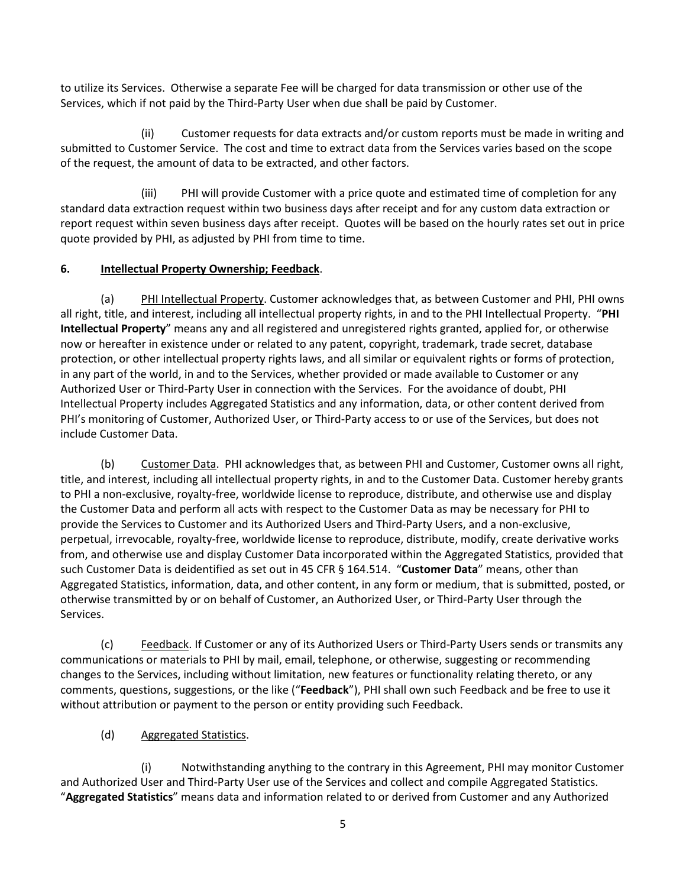to utilize its Services. Otherwise a separate Fee will be charged for data transmission or other use of the Services, which if not paid by the Third-Party User when due shall be paid by Customer.

(ii) Customer requests for data extracts and/or custom reports must be made in writing and submitted to Customer Service. The cost and time to extract data from the Services varies based on the scope of the request, the amount of data to be extracted, and other factors.

(iii) PHI will provide Customer with a price quote and estimated time of completion for any standard data extraction request within two business days after receipt and for any custom data extraction or report request within seven business days after receipt. Quotes will be based on the hourly rates set out in price quote provided by PHI, as adjusted by PHI from time to time.

# **6. Intellectual Property Ownership; Feedback**.

(a) PHI Intellectual Property. Customer acknowledges that, as between Customer and PHI, PHI owns all right, title, and interest, including all intellectual property rights, in and to the PHI Intellectual Property. "**PHI Intellectual Property**" means any and all registered and unregistered rights granted, applied for, or otherwise now or hereafter in existence under or related to any patent, copyright, trademark, trade secret, database protection, or other intellectual property rights laws, and all similar or equivalent rights or forms of protection, in any part of the world, in and to the Services, whether provided or made available to Customer or any Authorized User or Third-Party User in connection with the Services. For the avoidance of doubt, PHI Intellectual Property includes Aggregated Statistics and any information, data, or other content derived from PHI's monitoring of Customer, Authorized User, or Third-Party access to or use of the Services, but does not include Customer Data.

(b) Customer Data. PHI acknowledges that, as between PHI and Customer, Customer owns all right, title, and interest, including all intellectual property rights, in and to the Customer Data. Customer hereby grants to PHI a non-exclusive, royalty-free, worldwide license to reproduce, distribute, and otherwise use and display the Customer Data and perform all acts with respect to the Customer Data as may be necessary for PHI to provide the Services to Customer and its Authorized Users and Third-Party Users, and a non-exclusive, perpetual, irrevocable, royalty-free, worldwide license to reproduce, distribute, modify, create derivative works from, and otherwise use and display Customer Data incorporated within the Aggregated Statistics, provided that such Customer Data is deidentified as set out in 45 CFR § 164.514. "**Customer Data**" means, other than Aggregated Statistics, information, data, and other content, in any form or medium, that is submitted, posted, or otherwise transmitted by or on behalf of Customer, an Authorized User, or Third-Party User through the Services.

(c) Feedback. If Customer or any of its Authorized Users or Third-Party Users sends or transmits any communications or materials to PHI by mail, email, telephone, or otherwise, suggesting or recommending changes to the Services, including without limitation, new features or functionality relating thereto, or any comments, questions, suggestions, or the like ("**Feedback**"), PHI shall own such Feedback and be free to use it without attribution or payment to the person or entity providing such Feedback.

# (d) Aggregated Statistics.

(i) Notwithstanding anything to the contrary in this Agreement, PHI may monitor Customer and Authorized User and Third-Party User use of the Services and collect and compile Aggregated Statistics. "**Aggregated Statistics**" means data and information related to or derived from Customer and any Authorized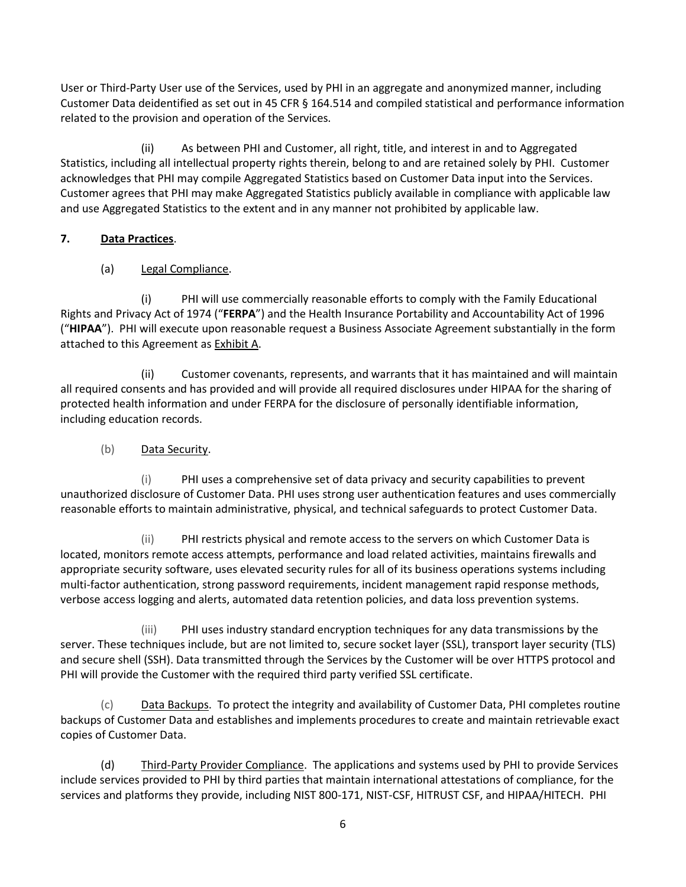User or Third-Party User use of the Services, used by PHI in an aggregate and anonymized manner, including Customer Data deidentified as set out in 45 CFR § 164.514 and compiled statistical and performance information related to the provision and operation of the Services.

(ii) As between PHI and Customer, all right, title, and interest in and to Aggregated Statistics, including all intellectual property rights therein, belong to and are retained solely by PHI. Customer acknowledges that PHI may compile Aggregated Statistics based on Customer Data input into the Services. Customer agrees that PHI may make Aggregated Statistics publicly available in compliance with applicable law and use Aggregated Statistics to the extent and in any manner not prohibited by applicable law.

# **7. Data Practices**.

# (a) Legal Compliance.

(i) PHI will use commercially reasonable efforts to comply with the Family Educational Rights and Privacy Act of 1974 ("**FERPA**") and the Health Insurance Portability and Accountability Act of 1996 ("**HIPAA**"). PHI will execute upon reasonable request a Business Associate Agreement substantially in the form attached to this Agreement as **Exhibit A.** 

(ii) Customer covenants, represents, and warrants that it has maintained and will maintain all required consents and has provided and will provide all required disclosures under HIPAA for the sharing of protected health information and under FERPA for the disclosure of personally identifiable information, including education records.

# (b) Data Security.

(i) PHI uses a comprehensive set of data privacy and security capabilities to prevent unauthorized disclosure of Customer Data. PHI uses strong user authentication features and uses commercially reasonable efforts to maintain administrative, physical, and technical safeguards to protect Customer Data.

(ii) PHI restricts physical and remote access to the servers on which Customer Data is located, monitors remote access attempts, performance and load related activities, maintains firewalls and appropriate security software, uses elevated security rules for all of its business operations systems including multi-factor authentication, strong password requirements, incident management rapid response methods, verbose access logging and alerts, automated data retention policies, and data loss prevention systems.

(iii) PHI uses industry standard encryption techniques for any data transmissions by the server. These techniques include, but are not limited to, secure socket layer (SSL), transport layer security (TLS) and secure shell (SSH). Data transmitted through the Services by the Customer will be over HTTPS protocol and PHI will provide the Customer with the required third party verified SSL certificate.

(c) Data Backups. To protect the integrity and availability of Customer Data, PHI completes routine backups of Customer Data and establishes and implements procedures to create and maintain retrievable exact copies of Customer Data.

(d) Third-Party Provider Compliance. The applications and systems used by PHI to provide Services include services provided to PHI by third parties that maintain international attestations of compliance, for the services and platforms they provide, including NIST 800-171, NIST-CSF, HITRUST CSF, and HIPAA/HITECH. PHI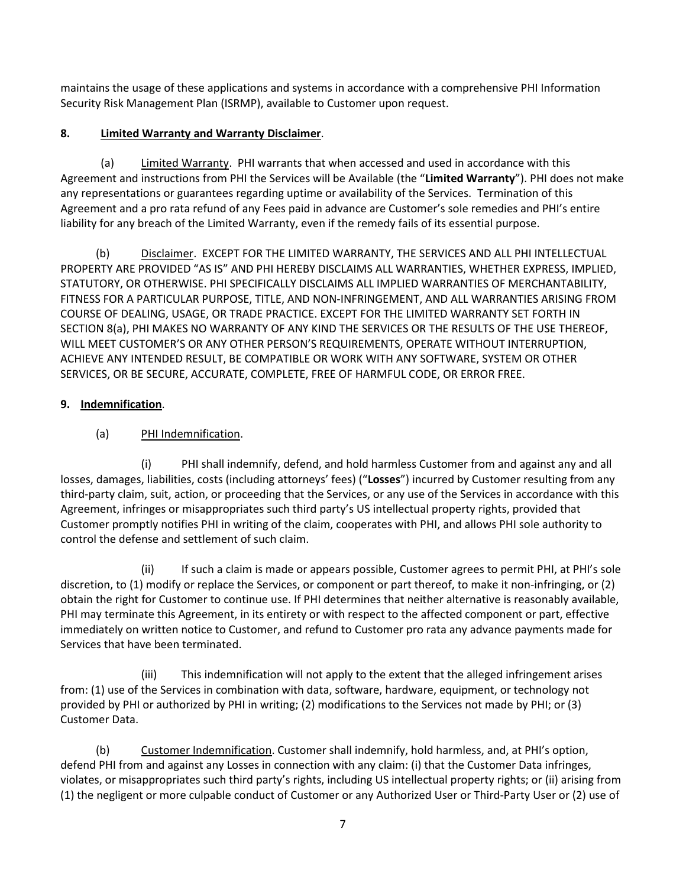maintains the usage of these applications and systems in accordance with a comprehensive PHI Information Security Risk Management Plan (ISRMP), available to Customer upon request.

# **8. Limited Warranty and Warranty Disclaimer**.

(a) Limited Warranty. PHI warrants that when accessed and used in accordance with this Agreement and instructions from PHI the Services will be Available (the "**Limited Warranty**"). PHI does not make any representations or guarantees regarding uptime or availability of the Services. Termination of this Agreement and a pro rata refund of any Fees paid in advance are Customer's sole remedies and PHI's entire liability for any breach of the Limited Warranty, even if the remedy fails of its essential purpose.

(b) Disclaimer. EXCEPT FOR THE LIMITED WARRANTY, THE SERVICES AND ALL PHI INTELLECTUAL PROPERTY ARE PROVIDED "AS IS" AND PHI HEREBY DISCLAIMS ALL WARRANTIES, WHETHER EXPRESS, IMPLIED, STATUTORY, OR OTHERWISE. PHI SPECIFICALLY DISCLAIMS ALL IMPLIED WARRANTIES OF MERCHANTABILITY, FITNESS FOR A PARTICULAR PURPOSE, TITLE, AND NON-INFRINGEMENT, AND ALL WARRANTIES ARISING FROM COURSE OF DEALING, USAGE, OR TRADE PRACTICE. EXCEPT FOR THE LIMITED WARRANTY SET FORTH IN SECTION 8(a), PHI MAKES NO WARRANTY OF ANY KIND THE SERVICES OR THE RESULTS OF THE USE THEREOF, WILL MEET CUSTOMER'S OR ANY OTHER PERSON'S REQUIREMENTS, OPERATE WITHOUT INTERRUPTION, ACHIEVE ANY INTENDED RESULT, BE COMPATIBLE OR WORK WITH ANY SOFTWARE, SYSTEM OR OTHER SERVICES, OR BE SECURE, ACCURATE, COMPLETE, FREE OF HARMFUL CODE, OR ERROR FREE.

# **9. Indemnification**.

# (a) PHI Indemnification.

(i) PHI shall indemnify, defend, and hold harmless Customer from and against any and all losses, damages, liabilities, costs (including attorneys' fees) ("**Losses**") incurred by Customer resulting from any third-party claim, suit, action, or proceeding that the Services, or any use of the Services in accordance with this Agreement, infringes or misappropriates such third party's US intellectual property rights, provided that Customer promptly notifies PHI in writing of the claim, cooperates with PHI, and allows PHI sole authority to control the defense and settlement of such claim.

(ii) If such a claim is made or appears possible, Customer agrees to permit PHI, at PHI's sole discretion, to (1) modify or replace the Services, or component or part thereof, to make it non-infringing, or (2) obtain the right for Customer to continue use. If PHI determines that neither alternative is reasonably available, PHI may terminate this Agreement, in its entirety or with respect to the affected component or part, effective immediately on written notice to Customer, and refund to Customer pro rata any advance payments made for Services that have been terminated.

(iii) This indemnification will not apply to the extent that the alleged infringement arises from: (1) use of the Services in combination with data, software, hardware, equipment, or technology not provided by PHI or authorized by PHI in writing; (2) modifications to the Services not made by PHI; or (3) Customer Data.

(b) Customer Indemnification. Customer shall indemnify, hold harmless, and, at PHI's option, defend PHI from and against any Losses in connection with any claim: (i) that the Customer Data infringes, violates, or misappropriates such third party's rights, including US intellectual property rights; or (ii) arising from (1) the negligent or more culpable conduct of Customer or any Authorized User or Third-Party User or (2) use of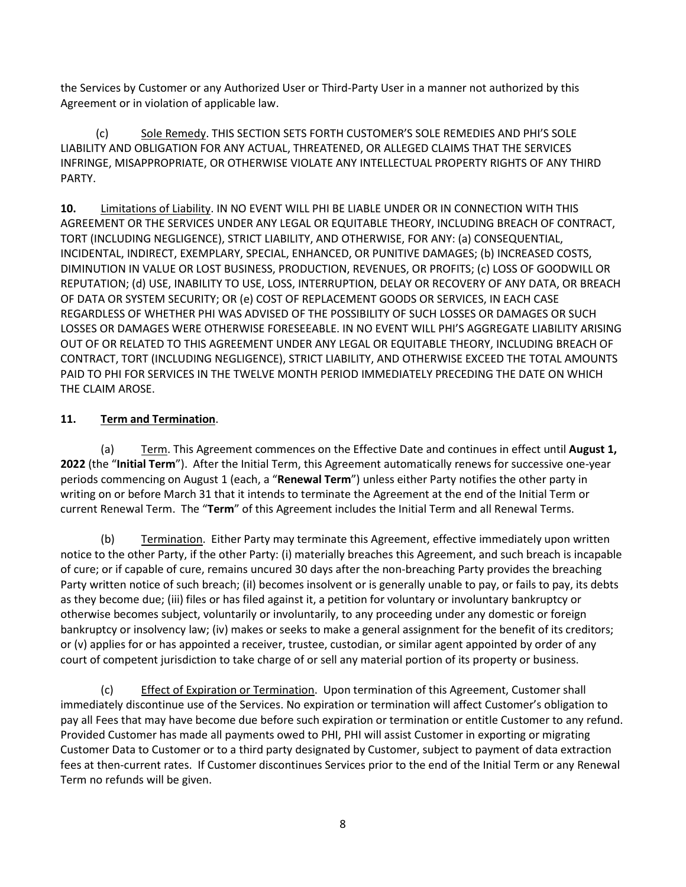the Services by Customer or any Authorized User or Third-Party User in a manner not authorized by this Agreement or in violation of applicable law.

(c) Sole Remedy. THIS SECTION SETS FORTH CUSTOMER'S SOLE REMEDIES AND PHI'S SOLE LIABILITY AND OBLIGATION FOR ANY ACTUAL, THREATENED, OR ALLEGED CLAIMS THAT THE SERVICES INFRINGE, MISAPPROPRIATE, OR OTHERWISE VIOLATE ANY INTELLECTUAL PROPERTY RIGHTS OF ANY THIRD PARTY.

**10.** Limitations of Liability. IN NO EVENT WILL PHI BE LIABLE UNDER OR IN CONNECTION WITH THIS AGREEMENT OR THE SERVICES UNDER ANY LEGAL OR EQUITABLE THEORY, INCLUDING BREACH OF CONTRACT, TORT (INCLUDING NEGLIGENCE), STRICT LIABILITY, AND OTHERWISE, FOR ANY: (a) CONSEQUENTIAL, INCIDENTAL, INDIRECT, EXEMPLARY, SPECIAL, ENHANCED, OR PUNITIVE DAMAGES; (b) INCREASED COSTS, DIMINUTION IN VALUE OR LOST BUSINESS, PRODUCTION, REVENUES, OR PROFITS; (c) LOSS OF GOODWILL OR REPUTATION; (d) USE, INABILITY TO USE, LOSS, INTERRUPTION, DELAY OR RECOVERY OF ANY DATA, OR BREACH OF DATA OR SYSTEM SECURITY; OR (e) COST OF REPLACEMENT GOODS OR SERVICES, IN EACH CASE REGARDLESS OF WHETHER PHI WAS ADVISED OF THE POSSIBILITY OF SUCH LOSSES OR DAMAGES OR SUCH LOSSES OR DAMAGES WERE OTHERWISE FORESEEABLE. IN NO EVENT WILL PHI'S AGGREGATE LIABILITY ARISING OUT OF OR RELATED TO THIS AGREEMENT UNDER ANY LEGAL OR EQUITABLE THEORY, INCLUDING BREACH OF CONTRACT, TORT (INCLUDING NEGLIGENCE), STRICT LIABILITY, AND OTHERWISE EXCEED THE TOTAL AMOUNTS PAID TO PHI FOR SERVICES IN THE TWELVE MONTH PERIOD IMMEDIATELY PRECEDING THE DATE ON WHICH THE CLAIM AROSE.

# **11. Term and Termination**.

(a) Term. This Agreement commences on the Effective Date and continues in effect until **August 1, 2022** (the "**Initial Term**"). After the Initial Term, this Agreement automatically renews for successive one-year periods commencing on August 1 (each, a "**Renewal Term**") unless either Party notifies the other party in writing on or before March 31 that it intends to terminate the Agreement at the end of the Initial Term or current Renewal Term. The "**Term**" of this Agreement includes the Initial Term and all Renewal Terms.

(b) Termination. Either Party may terminate this Agreement, effective immediately upon written notice to the other Party, if the other Party: (i) materially breaches this Agreement, and such breach is incapable of cure; or if capable of cure, remains uncured 30 days after the non-breaching Party provides the breaching Party written notice of such breach; (iI) becomes insolvent or is generally unable to pay, or fails to pay, its debts as they become due; (iii) files or has filed against it, a petition for voluntary or involuntary bankruptcy or otherwise becomes subject, voluntarily or involuntarily, to any proceeding under any domestic or foreign bankruptcy or insolvency law; (iv) makes or seeks to make a general assignment for the benefit of its creditors; or (v) applies for or has appointed a receiver, trustee, custodian, or similar agent appointed by order of any court of competent jurisdiction to take charge of or sell any material portion of its property or business.

(c) Effect of Expiration or Termination. Upon termination of this Agreement, Customer shall immediately discontinue use of the Services. No expiration or termination will affect Customer's obligation to pay all Fees that may have become due before such expiration or termination or entitle Customer to any refund. Provided Customer has made all payments owed to PHI, PHI will assist Customer in exporting or migrating Customer Data to Customer or to a third party designated by Customer, subject to payment of data extraction fees at then-current rates. If Customer discontinues Services prior to the end of the Initial Term or any Renewal Term no refunds will be given.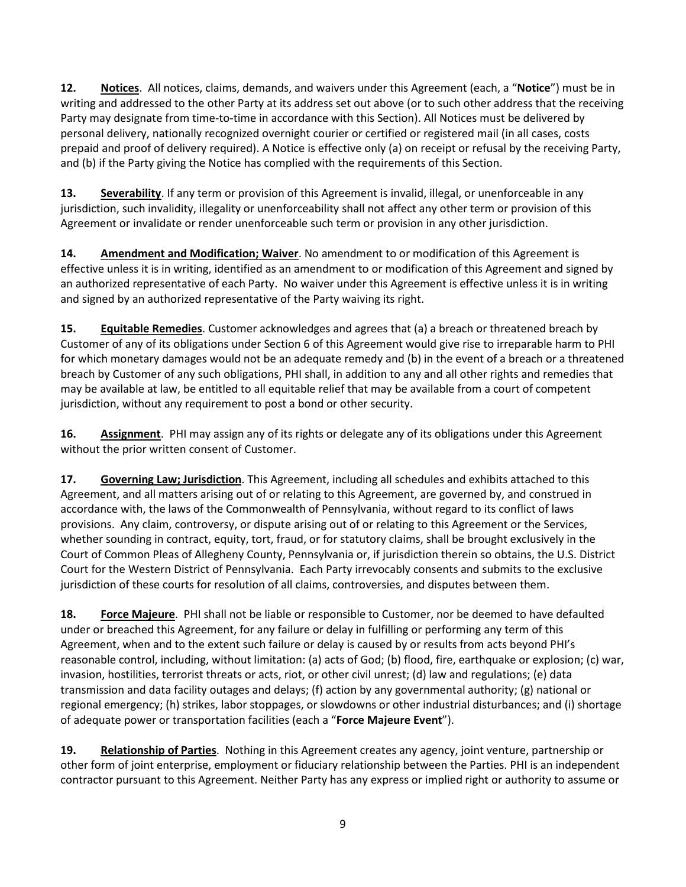**12. Notices**. All notices, claims, demands, and waivers under this Agreement (each, a "**Notice**") must be in writing and addressed to the other Party at its address set out above (or to such other address that the receiving Party may designate from time-to-time in accordance with this Section). All Notices must be delivered by personal delivery, nationally recognized overnight courier or certified or registered mail (in all cases, costs prepaid and proof of delivery required). A Notice is effective only (a) on receipt or refusal by the receiving Party, and (b) if the Party giving the Notice has complied with the requirements of this Section.

**13. Severability**. If any term or provision of this Agreement is invalid, illegal, or unenforceable in any jurisdiction, such invalidity, illegality or unenforceability shall not affect any other term or provision of this Agreement or invalidate or render unenforceable such term or provision in any other jurisdiction.

**14. Amendment and Modification; Waiver**. No amendment to or modification of this Agreement is effective unless it is in writing, identified as an amendment to or modification of this Agreement and signed by an authorized representative of each Party. No waiver under this Agreement is effective unless it is in writing and signed by an authorized representative of the Party waiving its right.

**15. Equitable Remedies**. Customer acknowledges and agrees that (a) a breach or threatened breach by Customer of any of its obligations under Section 6 of this Agreement would give rise to irreparable harm to PHI for which monetary damages would not be an adequate remedy and (b) in the event of a breach or a threatened breach by Customer of any such obligations, PHI shall, in addition to any and all other rights and remedies that may be available at law, be entitled to all equitable relief that may be available from a court of competent jurisdiction, without any requirement to post a bond or other security.

**16. Assignment**. PHI may assign any of its rights or delegate any of its obligations under this Agreement without the prior written consent of Customer.

**17. Governing Law; Jurisdiction**. This Agreement, including all schedules and exhibits attached to this Agreement, and all matters arising out of or relating to this Agreement, are governed by, and construed in accordance with, the laws of the Commonwealth of Pennsylvania, without regard to its conflict of laws provisions. Any claim, controversy, or dispute arising out of or relating to this Agreement or the Services, whether sounding in contract, equity, tort, fraud, or for statutory claims, shall be brought exclusively in the Court of Common Pleas of Allegheny County, Pennsylvania or, if jurisdiction therein so obtains, the U.S. District Court for the Western District of Pennsylvania. Each Party irrevocably consents and submits to the exclusive jurisdiction of these courts for resolution of all claims, controversies, and disputes between them.

**18. Force Majeure**. PHI shall not be liable or responsible to Customer, nor be deemed to have defaulted under or breached this Agreement, for any failure or delay in fulfilling or performing any term of this Agreement, when and to the extent such failure or delay is caused by or results from acts beyond PHI's reasonable control, including, without limitation: (a) acts of God; (b) flood, fire, earthquake or explosion; (c) war, invasion, hostilities, terrorist threats or acts, riot, or other civil unrest; (d) law and regulations; (e) data transmission and data facility outages and delays; (f) action by any governmental authority; (g) national or regional emergency; (h) strikes, labor stoppages, or slowdowns or other industrial disturbances; and (i) shortage of adequate power or transportation facilities (each a "**Force Majeure Event**").

**19. Relationship of Parties**. Nothing in this Agreement creates any agency, joint venture, partnership or other form of joint enterprise, employment or fiduciary relationship between the Parties. PHI is an independent contractor pursuant to this Agreement. Neither Party has any express or implied right or authority to assume or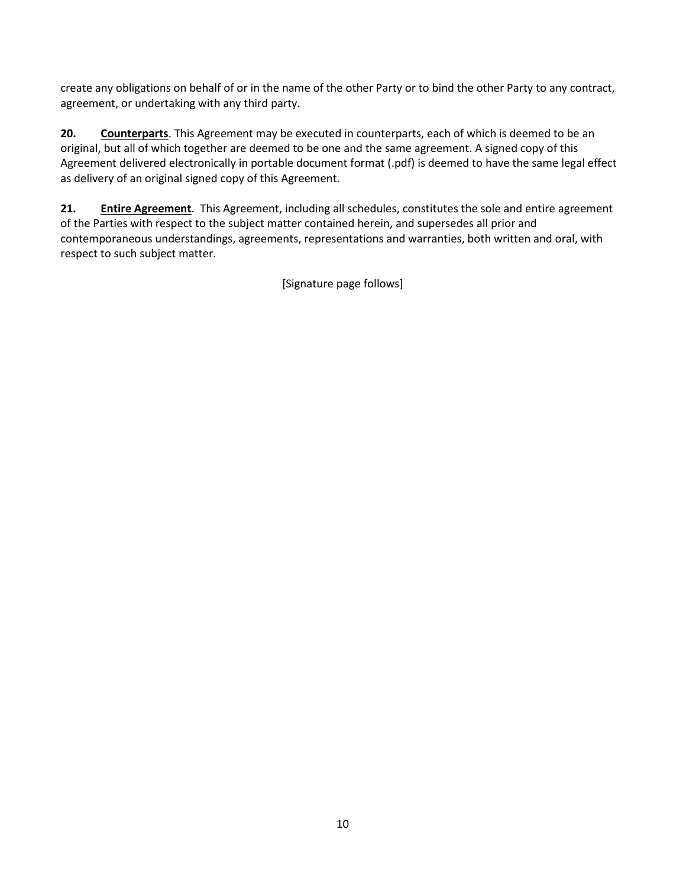create any obligations on behalf of or in the name of the other Party or to bind the other Party to any contract, agreement, or undertaking with any third party.

**20. Counterparts**. This Agreement may be executed in counterparts, each of which is deemed to be an original, but all of which together are deemed to be one and the same agreement. A signed copy of this Agreement delivered electronically in portable document format (.pdf) is deemed to have the same legal effect as delivery of an original signed copy of this Agreement.

**21. Entire Agreement**. This Agreement, including all schedules, constitutes the sole and entire agreement of the Parties with respect to the subject matter contained herein, and supersedes all prior and contemporaneous understandings, agreements, representations and warranties, both written and oral, with respect to such subject matter.

[Signature page follows]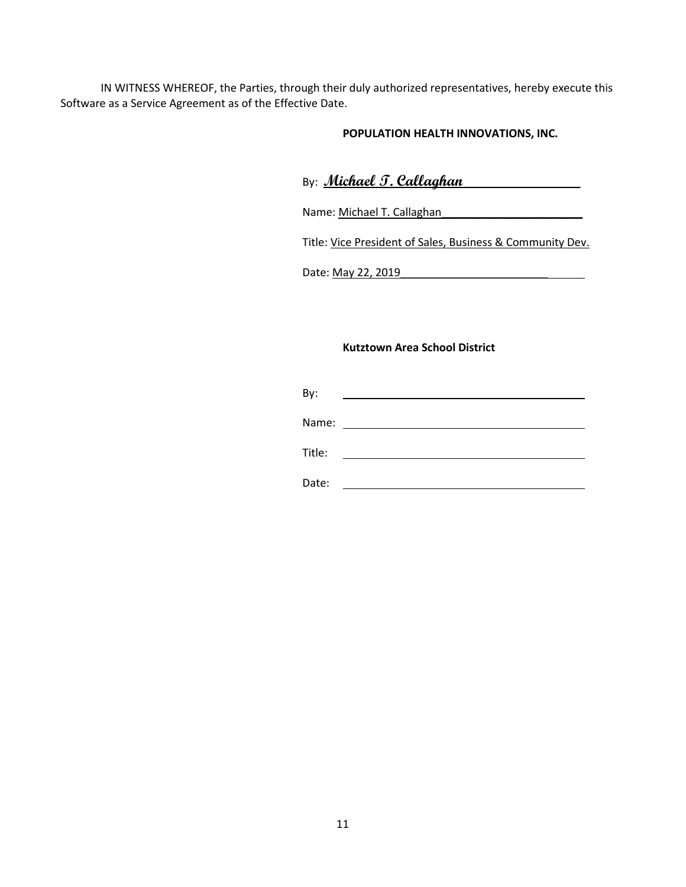IN WITNESS WHEREOF, the Parties, through their duly authorized representatives, hereby execute this Software as a Service Agreement as of the Effective Date.

### **POPULATION HEALTH INNOVATIONS, INC.**

| By: Michael T. Callaghan |  |
|--------------------------|--|
|                          |  |

Name: Michael T. Callaghan\_\_\_\_\_\_\_\_\_\_\_\_\_\_\_\_\_\_\_\_\_\_\_

Title: Vice President of Sales, Business & Community Dev.

Date: <u>May 22, 2019</u>

### **Kutztown Area School District**

By: <u> 1989 - Johann Stoff, deutscher Stoffen und der Stoffen und der Stoffen und der Stoffen und der Stoffen und d</u> Name: Title: <u> 1989 - Johann Barn, fransk politik (d. 1989)</u>

Date: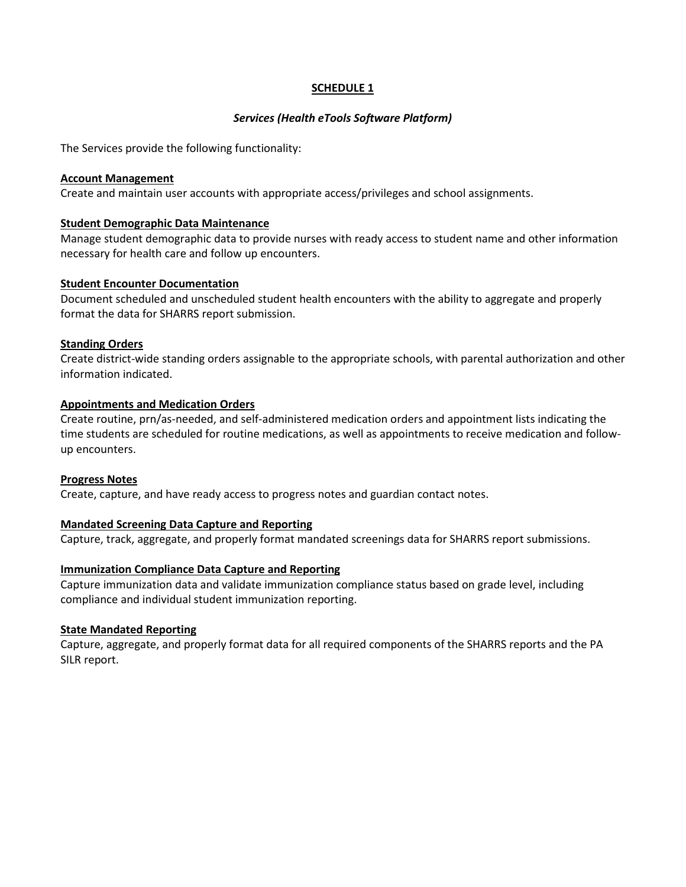### **SCHEDULE 1**

### *Services (Health eTools Software Platform)*

The Services provide the following functionality:

#### **Account Management**

Create and maintain user accounts with appropriate access/privileges and school assignments.

#### **Student Demographic Data Maintenance**

Manage student demographic data to provide nurses with ready access to student name and other information necessary for health care and follow up encounters.

#### **Student Encounter Documentation**

Document scheduled and unscheduled student health encounters with the ability to aggregate and properly format the data for SHARRS report submission.

#### **Standing Orders**

Create district-wide standing orders assignable to the appropriate schools, with parental authorization and other information indicated.

### **Appointments and Medication Orders**

Create routine, prn/as-needed, and self-administered medication orders and appointment lists indicating the time students are scheduled for routine medications, as well as appointments to receive medication and followup encounters.

### **Progress Notes**

Create, capture, and have ready access to progress notes and guardian contact notes.

### **Mandated Screening Data Capture and Reporting**

Capture, track, aggregate, and properly format mandated screenings data for SHARRS report submissions.

### **Immunization Compliance Data Capture and Reporting**

Capture immunization data and validate immunization compliance status based on grade level, including compliance and individual student immunization reporting.

### **State Mandated Reporting**

Capture, aggregate, and properly format data for all required components of the SHARRS reports and the PA SILR report.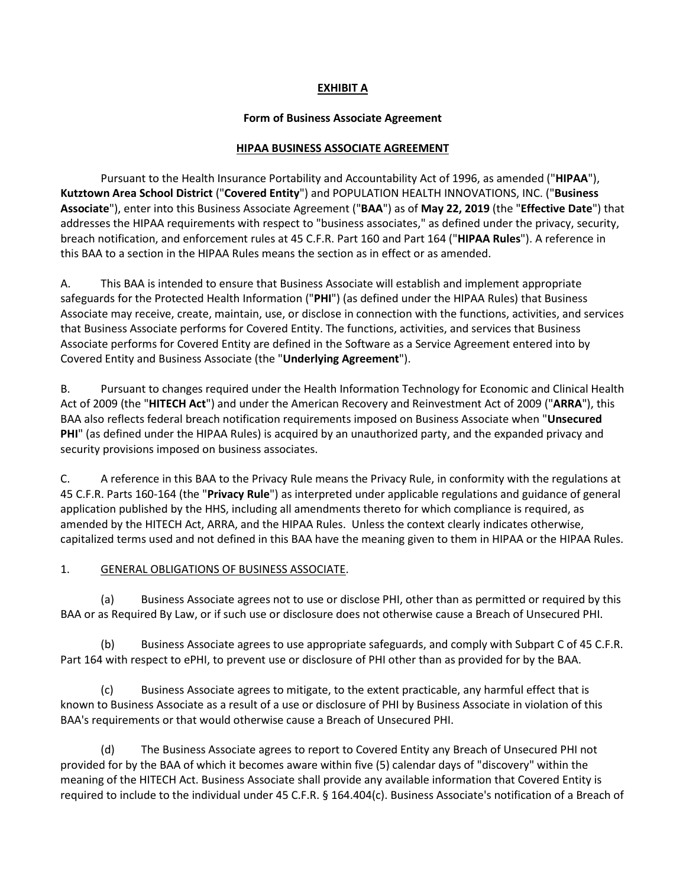# **EXHIBIT A**

### **Form of Business Associate Agreement**

### **HIPAA BUSINESS ASSOCIATE AGREEMENT**

Pursuant to the Health Insurance Portability and Accountability Act of 1996, as amended ("**HIPAA**"), **Kutztown Area School District** ("**Covered Entity**") and POPULATION HEALTH INNOVATIONS, INC. ("**Business Associate**"), enter into this Business Associate Agreement ("**BAA**") as of **May 22, 2019** (the "**Effective Date**") that addresses the HIPAA requirements with respect to "business associates," as defined under the privacy, security, breach notification, and enforcement rules at 45 C.F.R. Part 160 and Part 164 ("**HIPAA Rules**"). A reference in this BAA to a section in the HIPAA Rules means the section as in effect or as amended.

A. This BAA is intended to ensure that Business Associate will establish and implement appropriate safeguards for the Protected Health Information ("**PHI**") (as defined under the HIPAA Rules) that Business Associate may receive, create, maintain, use, or disclose in connection with the functions, activities, and services that Business Associate performs for Covered Entity. The functions, activities, and services that Business Associate performs for Covered Entity are defined in the Software as a Service Agreement entered into by Covered Entity and Business Associate (the "**Underlying Agreement**").

B. Pursuant to changes required under the Health Information Technology for Economic and Clinical Health Act of 2009 (the "**HITECH Act**") and under the American Recovery and Reinvestment Act of 2009 ("**ARRA**"), this BAA also reflects federal breach notification requirements imposed on Business Associate when "**Unsecured PHI**" (as defined under the HIPAA Rules) is acquired by an unauthorized party, and the expanded privacy and security provisions imposed on business associates.

C. A reference in this BAA to the Privacy Rule means the Privacy Rule, in conformity with the regulations at 45 C.F.R. Parts 160-164 (the "**Privacy Rule**") as interpreted under applicable regulations and guidance of general application published by the HHS, including all amendments thereto for which compliance is required, as amended by the HITECH Act, ARRA, and the HIPAA Rules. Unless the context clearly indicates otherwise, capitalized terms used and not defined in this BAA have the meaning given to them in HIPAA or the HIPAA Rules.

### 1. GENERAL OBLIGATIONS OF BUSINESS ASSOCIATE.

(a) Business Associate agrees not to use or disclose PHI, other than as permitted or required by this BAA or as Required By Law, or if such use or disclosure does not otherwise cause a Breach of Unsecured PHI.

(b) Business Associate agrees to use appropriate safeguards, and comply with Subpart C of 45 C.F.R. Part 164 with respect to ePHI, to prevent use or disclosure of PHI other than as provided for by the BAA.

(c) Business Associate agrees to mitigate, to the extent practicable, any harmful effect that is known to Business Associate as a result of a use or disclosure of PHI by Business Associate in violation of this BAA's requirements or that would otherwise cause a Breach of Unsecured PHI.

(d) The Business Associate agrees to report to Covered Entity any Breach of Unsecured PHI not provided for by the BAA of which it becomes aware within five (5) calendar days of "discovery" within the meaning of the HITECH Act. Business Associate shall provide any available information that Covered Entity is required to include to the individual under 45 C.F.R. § 164.404(c). Business Associate's notification of a Breach of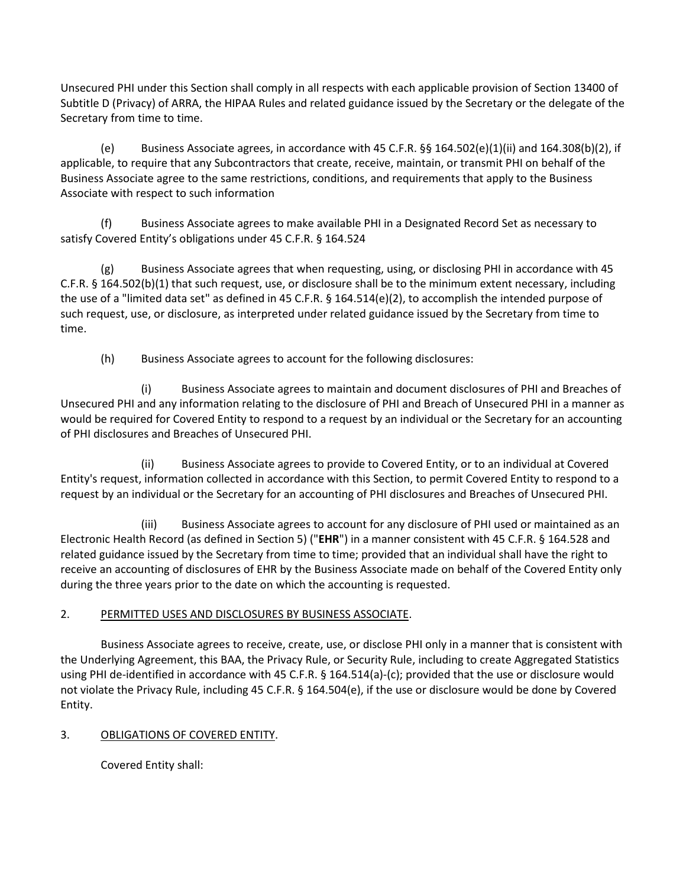Unsecured PHI under this Section shall comply in all respects with each applicable provision of Section 13400 of Subtitle D (Privacy) of ARRA, the HIPAA Rules and related guidance issued by the Secretary or the delegate of the Secretary from time to time.

(e) Business Associate agrees, in accordance with 45 C.F.R.  $\S$ § 164.502(e)(1)(ii) and 164.308(b)(2), if applicable, to require that any Subcontractors that create, receive, maintain, or transmit PHI on behalf of the Business Associate agree to the same restrictions, conditions, and requirements that apply to the Business Associate with respect to such information

(f) Business Associate agrees to make available PHI in a Designated Record Set as necessary to satisfy Covered Entity's obligations under 45 C.F.R. § 164.524

(g) Business Associate agrees that when requesting, using, or disclosing PHI in accordance with 45 C.F.R. § 164.502(b)(1) that such request, use, or disclosure shall be to the minimum extent necessary, including the use of a "limited data set" as defined in 45 C.F.R. § 164.514(e)(2), to accomplish the intended purpose of such request, use, or disclosure, as interpreted under related guidance issued by the Secretary from time to time.

(h) Business Associate agrees to account for the following disclosures:

(i) Business Associate agrees to maintain and document disclosures of PHI and Breaches of Unsecured PHI and any information relating to the disclosure of PHI and Breach of Unsecured PHI in a manner as would be required for Covered Entity to respond to a request by an individual or the Secretary for an accounting of PHI disclosures and Breaches of Unsecured PHI.

(ii) Business Associate agrees to provide to Covered Entity, or to an individual at Covered Entity's request, information collected in accordance with this Section, to permit Covered Entity to respond to a request by an individual or the Secretary for an accounting of PHI disclosures and Breaches of Unsecured PHI.

(iii) Business Associate agrees to account for any disclosure of PHI used or maintained as an Electronic Health Record (as defined in Section 5) ("**EHR**") in a manner consistent with 45 C.F.R. § 164.528 and related guidance issued by the Secretary from time to time; provided that an individual shall have the right to receive an accounting of disclosures of EHR by the Business Associate made on behalf of the Covered Entity only during the three years prior to the date on which the accounting is requested.

# 2. PERMITTED USES AND DISCLOSURES BY BUSINESS ASSOCIATE.

Business Associate agrees to receive, create, use, or disclose PHI only in a manner that is consistent with the Underlying Agreement, this BAA, the Privacy Rule, or Security Rule, including to create Aggregated Statistics using PHI de-identified in accordance with 45 C.F.R. § 164.514(a)-(c); provided that the use or disclosure would not violate the Privacy Rule, including 45 C.F.R. § 164.504(e), if the use or disclosure would be done by Covered Entity.

# 3. OBLIGATIONS OF COVERED ENTITY.

Covered Entity shall: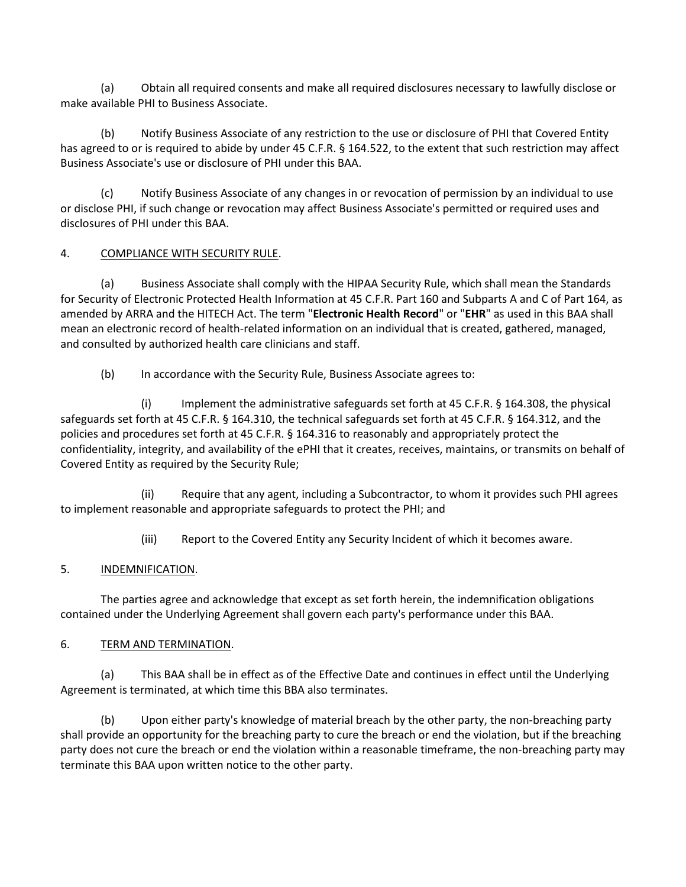(a) Obtain all required consents and make all required disclosures necessary to lawfully disclose or make available PHI to Business Associate.

(b) Notify Business Associate of any restriction to the use or disclosure of PHI that Covered Entity has agreed to or is required to abide by under 45 C.F.R. § 164.522, to the extent that such restriction may affect Business Associate's use or disclosure of PHI under this BAA.

(c) Notify Business Associate of any changes in or revocation of permission by an individual to use or disclose PHI, if such change or revocation may affect Business Associate's permitted or required uses and disclosures of PHI under this BAA.

# 4. COMPLIANCE WITH SECURITY RULE.

(a) Business Associate shall comply with the HIPAA Security Rule, which shall mean the Standards for Security of Electronic Protected Health Information at 45 C.F.R. Part 160 and Subparts A and C of Part 164, as amended by ARRA and the HITECH Act. The term "**Electronic Health Record**" or "**EHR**" as used in this BAA shall mean an electronic record of health-related information on an individual that is created, gathered, managed, and consulted by authorized health care clinicians and staff.

(b) In accordance with the Security Rule, Business Associate agrees to:

(i) Implement the administrative safeguards set forth at 45 C.F.R. § 164.308, the physical safeguards set forth at 45 C.F.R. § 164.310, the technical safeguards set forth at 45 C.F.R. § 164.312, and the policies and procedures set forth at 45 C.F.R. § 164.316 to reasonably and appropriately protect the confidentiality, integrity, and availability of the ePHI that it creates, receives, maintains, or transmits on behalf of Covered Entity as required by the Security Rule;

(ii) Require that any agent, including a Subcontractor, to whom it provides such PHI agrees to implement reasonable and appropriate safeguards to protect the PHI; and

(iii) Report to the Covered Entity any Security Incident of which it becomes aware.

# 5. INDEMNIFICATION.

The parties agree and acknowledge that except as set forth herein, the indemnification obligations contained under the Underlying Agreement shall govern each party's performance under this BAA.

### 6. TERM AND TERMINATION.

(a) This BAA shall be in effect as of the Effective Date and continues in effect until the Underlying Agreement is terminated, at which time this BBA also terminates.

(b) Upon either party's knowledge of material breach by the other party, the non-breaching party shall provide an opportunity for the breaching party to cure the breach or end the violation, but if the breaching party does not cure the breach or end the violation within a reasonable timeframe, the non-breaching party may terminate this BAA upon written notice to the other party.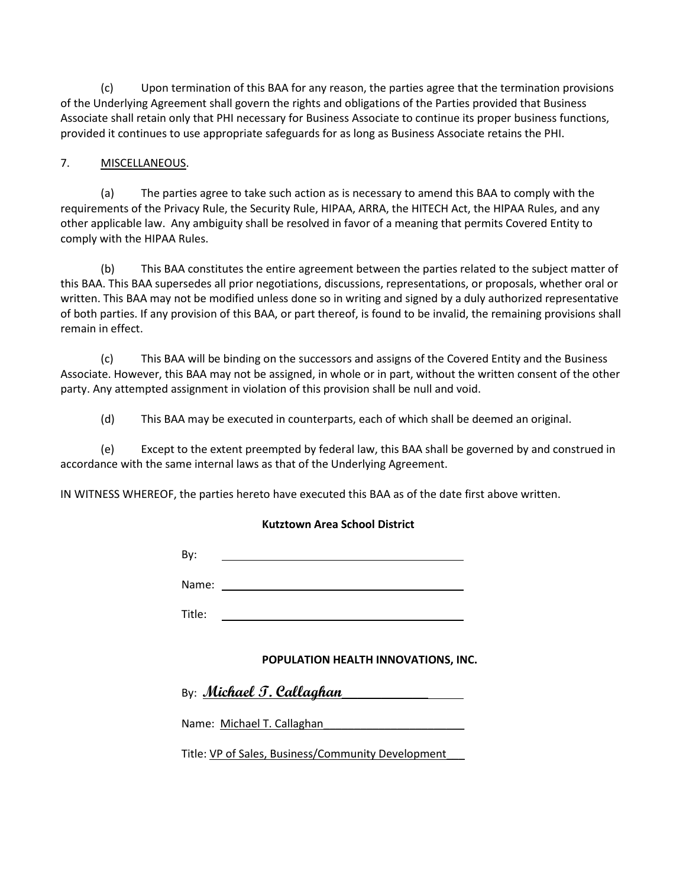(c) Upon termination of this BAA for any reason, the parties agree that the termination provisions of the Underlying Agreement shall govern the rights and obligations of the Parties provided that Business Associate shall retain only that PHI necessary for Business Associate to continue its proper business functions, provided it continues to use appropriate safeguards for as long as Business Associate retains the PHI.

# 7. MISCELLANEOUS.

(a) The parties agree to take such action as is necessary to amend this BAA to comply with the requirements of the Privacy Rule, the Security Rule, HIPAA, ARRA, the HITECH Act, the HIPAA Rules, and any other applicable law. Any ambiguity shall be resolved in favor of a meaning that permits Covered Entity to comply with the HIPAA Rules.

(b) This BAA constitutes the entire agreement between the parties related to the subject matter of this BAA. This BAA supersedes all prior negotiations, discussions, representations, or proposals, whether oral or written. This BAA may not be modified unless done so in writing and signed by a duly authorized representative of both parties. If any provision of this BAA, or part thereof, is found to be invalid, the remaining provisions shall remain in effect.

(c) This BAA will be binding on the successors and assigns of the Covered Entity and the Business Associate. However, this BAA may not be assigned, in whole or in part, without the written consent of the other party. Any attempted assignment in violation of this provision shall be null and void.

(d) This BAA may be executed in counterparts, each of which shall be deemed an original.

(e) Except to the extent preempted by federal law, this BAA shall be governed by and construed in accordance with the same internal laws as that of the Underlying Agreement.

IN WITNESS WHEREOF, the parties hereto have executed this BAA as of the date first above written.

### **Kutztown Area School District**

By:

Name:

Title:

# **POPULATION HEALTH INNOVATIONS, INC.**

| By: <i>Michael T. Callaghan</i> |  |  |
|---------------------------------|--|--|
|                                 |  |  |

Name: Michael T. Callaghan

Title: VP of Sales, Business/Community Development\_\_\_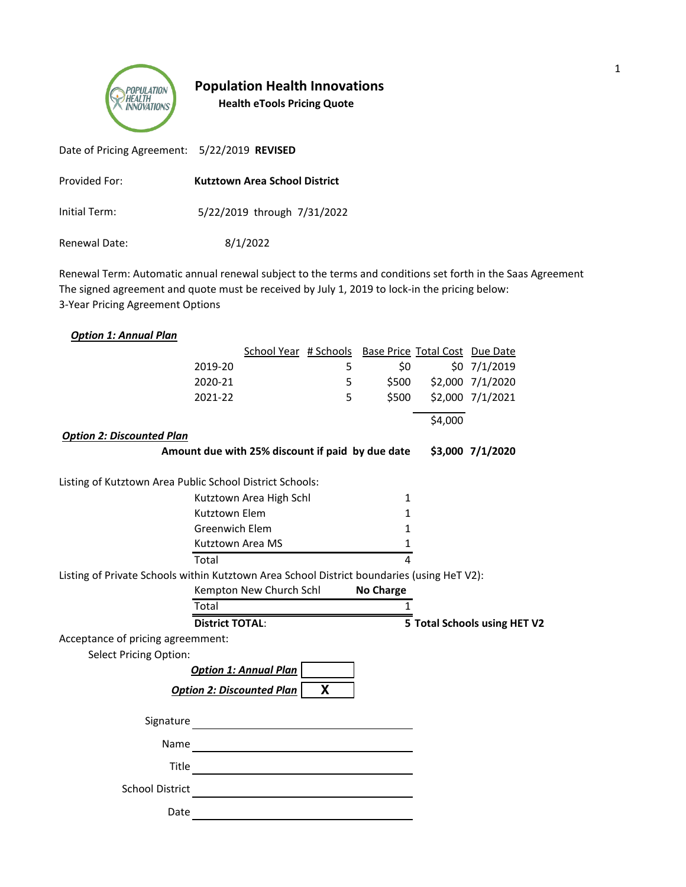

# **Population Health Innovations Health eTools Pricing Quote**

| Date of Pricing Agreement: 5/22/2019 REVISED |                                      |
|----------------------------------------------|--------------------------------------|
| Provided For:                                | <b>Kutztown Area School District</b> |
| Initial Term:                                | 5/22/2019 through 7/31/2022          |
| Renewal Date:                                | 8/1/2022                             |

Renewal Term: Automatic annual renewal subject to the terms and conditions set forth in the Saas Agreement The signed agreement and quote must be received by July 1, 2019 to lock-in the pricing below: 3-Year Pricing Agreement Options

|                                                                                            |                        | School Year # Schools Base Price Total Cost Due Date                                                     |   |                  |                        |                              |
|--------------------------------------------------------------------------------------------|------------------------|----------------------------------------------------------------------------------------------------------|---|------------------|------------------------|------------------------------|
|                                                                                            | 2019-20                |                                                                                                          | 5 | \$0              |                        | $$0$ 7/1/2019                |
|                                                                                            | 2020-21                |                                                                                                          | 5 |                  | \$500 \$2,000 7/1/2020 |                              |
|                                                                                            | 2021-22                |                                                                                                          | 5 | \$500            |                        | \$2,000 7/1/2021             |
|                                                                                            |                        |                                                                                                          |   |                  | \$4,000                |                              |
| <b>Option 2: Discounted Plan</b>                                                           |                        |                                                                                                          |   |                  |                        |                              |
|                                                                                            |                        | Amount due with 25% discount if paid by due date                                                         |   |                  |                        | \$3,000 7/1/2020             |
| Listing of Kutztown Area Public School District Schools:                                   |                        |                                                                                                          |   |                  |                        |                              |
|                                                                                            |                        | Kutztown Area High Schl                                                                                  |   | 1                |                        |                              |
|                                                                                            | Kutztown Elem          |                                                                                                          |   | 1                |                        |                              |
|                                                                                            | <b>Greenwich Elem</b>  |                                                                                                          |   | 1                |                        |                              |
|                                                                                            |                        | Kutztown Area MS                                                                                         |   | $\mathbf{1}$     |                        |                              |
|                                                                                            | Total                  |                                                                                                          |   | 4                |                        |                              |
| Listing of Private Schools within Kutztown Area School District boundaries (using HeT V2): |                        |                                                                                                          |   |                  |                        |                              |
|                                                                                            |                        | Kempton New Church Schl                                                                                  |   | <b>No Charge</b> |                        |                              |
|                                                                                            |                        |                                                                                                          |   | 1                |                        |                              |
|                                                                                            | Total                  |                                                                                                          |   |                  |                        |                              |
|                                                                                            | <b>District TOTAL:</b> |                                                                                                          |   |                  |                        | 5 Total Schools using HET V2 |
| Acceptance of pricing agreemment:                                                          |                        |                                                                                                          |   |                  |                        |                              |
| <b>Select Pricing Option:</b>                                                              |                        |                                                                                                          |   |                  |                        |                              |
|                                                                                            |                        | <b>Option 1: Annual Plan</b>                                                                             |   |                  |                        |                              |
|                                                                                            |                        | <b>Option 2: Discounted Plan</b>                                                                         | X |                  |                        |                              |
| Signature                                                                                  |                        |                                                                                                          |   |                  |                        |                              |
| Name                                                                                       |                        |                                                                                                          |   |                  |                        |                              |
| Title                                                                                      |                        |                                                                                                          |   |                  |                        |                              |
| <b>School District</b>                                                                     |                        | <u> 1989 - Andrea Barbara, manazarta (h. 1989).</u><br><u> 1989 - Andrea State Barbara, amerikan per</u> |   |                  |                        |                              |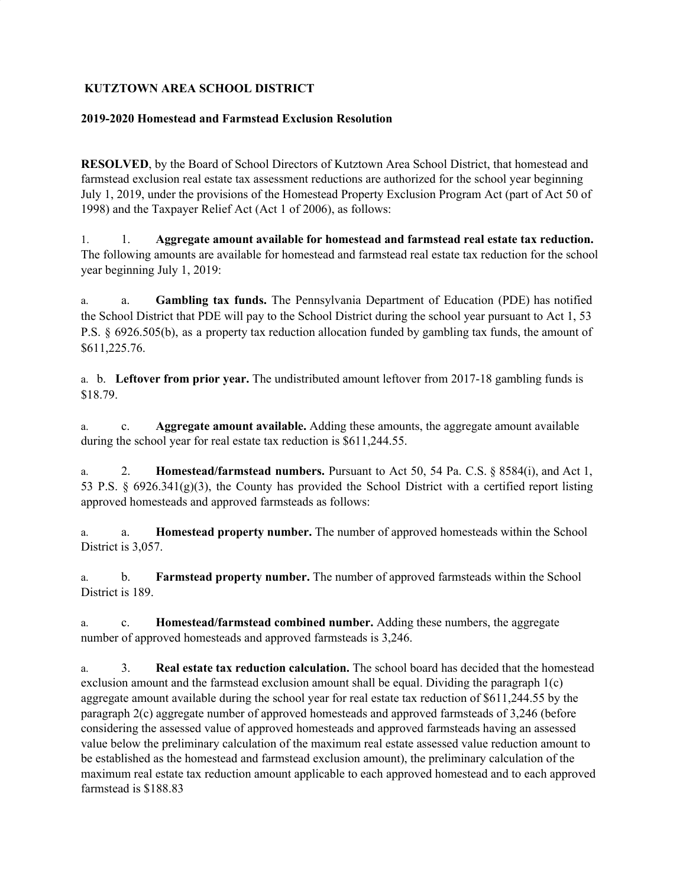# **KUTZTOWN AREA SCHOOL DISTRICT**

# **2019-2020 Homestead and Farmstead Exclusion Resolution**

**RESOLVED**, by the Board of School Directors of Kutztown Area School District, that homestead and farmstead exclusion real estate tax assessment reductions are authorized for the school year beginning July 1, 2019, under the provisions of the Homestead Property Exclusion Program Act (part of Act 50 of 1998) and the Taxpayer Relief Act (Act 1 of 2006), as follows:

1. 1. **Aggregate amount available for homestead and farmstead real estate tax reduction.** The following amounts are available for homestead and farmstead real estate tax reduction for the school year beginning July 1, 2019:

a. a. **Gambling tax funds.** The Pennsylvania Department of Education (PDE) has notified the School District that PDE will pay to the School District during the school year pursuant to Act 1, 53 P.S. § 6926.505(b), as a property tax reduction allocation funded by gambling tax funds, the amount of \$611,225.76.

a. b. **Leftover from prior year.** The undistributed amount leftover from 2017-18 gambling funds is \$18.79.

a. c. **Aggregate amount available.** Adding these amounts, the aggregate amount available during the school year for real estate tax reduction is \$611,244.55.

a. 2. **Homestead/farmstead numbers.** Pursuant to Act 50, 54 Pa. C.S. § 8584(i), and Act 1, 53 P.S. § 6926.341(g)(3), the County has provided the School District with a certified report listing approved homesteads and approved farmsteads as follows:

a. a. **Homestead property number.** The number of approved homesteads within the School District is 3,057.

a. b. **Farmstead property number.** The number of approved farmsteads within the School District is 189.

a. c. **Homestead/farmstead combined number.** Adding these numbers, the aggregate number of approved homesteads and approved farmsteads is 3,246.

a. 3. **Real estate tax reduction calculation.** The school board has decided that the homestead exclusion amount and the farmstead exclusion amount shall be equal. Dividing the paragraph 1(c) aggregate amount available during the school year for real estate tax reduction of \$611,244.55 by the paragraph 2(c) aggregate number of approved homesteads and approved farmsteads of 3,246 (before considering the assessed value of approved homesteads and approved farmsteads having an assessed value below the preliminary calculation of the maximum real estate assessed value reduction amount to be established as the homestead and farmstead exclusion amount), the preliminary calculation of the maximum real estate tax reduction amount applicable to each approved homestead and to each approved farmstead is \$188.83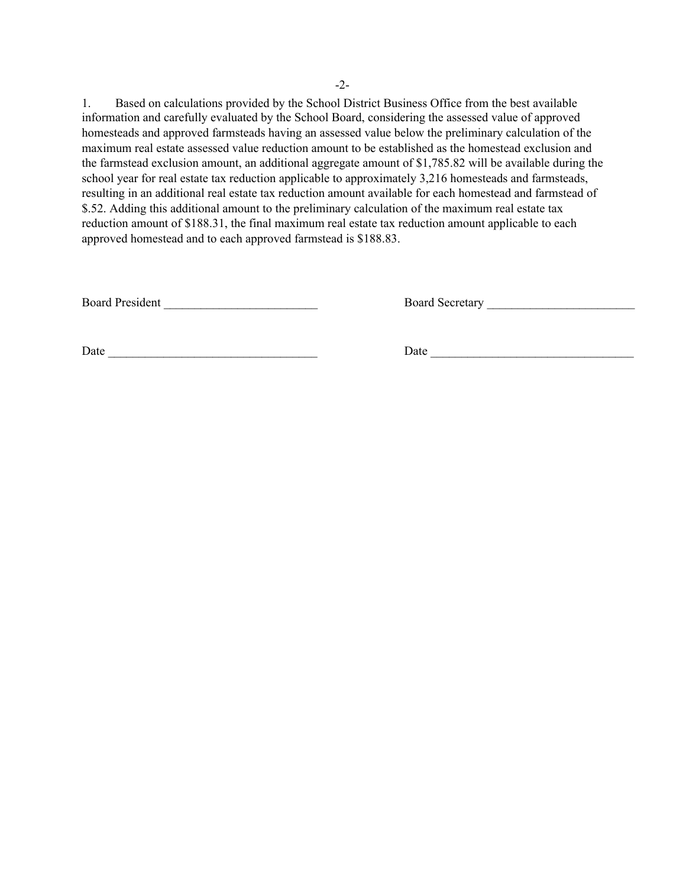1. Based on calculations provided by the School District Business Office from the best available information and carefully evaluated by the School Board, considering the assessed value of approved homesteads and approved farmsteads having an assessed value below the preliminary calculation of the maximum real estate assessed value reduction amount to be established as the homestead exclusion and the farmstead exclusion amount, an additional aggregate amount of \$1,785.82 will be available during the school year for real estate tax reduction applicable to approximately 3,216 homesteads and farmsteads, resulting in an additional real estate tax reduction amount available for each homestead and farmstead of \$.52. Adding this additional amount to the preliminary calculation of the maximum real estate tax reduction amount of \$188.31, the final maximum real estate tax reduction amount applicable to each approved homestead and to each approved farmstead is \$188.83.

Board President \_\_\_\_\_\_\_\_\_\_\_\_\_\_\_\_\_\_\_\_\_\_\_\_\_ Board Secretary \_\_\_\_\_\_\_\_\_\_\_\_\_\_\_\_\_\_\_\_\_\_\_\_

Date \_\_\_\_\_\_\_\_\_\_\_\_\_\_\_\_\_\_\_\_\_\_\_\_\_\_\_\_\_\_\_\_\_\_ Date \_\_\_\_\_\_\_\_\_\_\_\_\_\_\_\_\_\_\_\_\_\_\_\_\_\_\_\_\_\_\_\_\_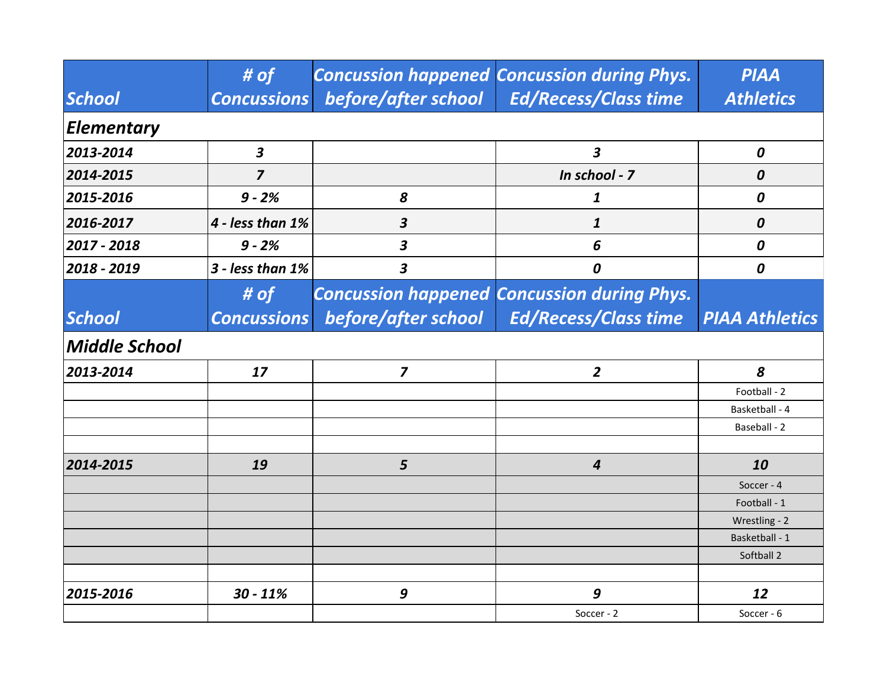|                      | # of                 |                         | <b>Concussion happened Concussion during Phys.</b> | <b>PIAA</b>           |  |
|----------------------|----------------------|-------------------------|----------------------------------------------------|-----------------------|--|
| <b>School</b>        | <b>Concussions</b>   | before/after school     | <b>Ed/Recess/Class time</b>                        | <b>Athletics</b>      |  |
| <b>Elementary</b>    |                      |                         |                                                    |                       |  |
| 2013-2014            | $\boldsymbol{3}$     |                         | 3                                                  | 0                     |  |
| 2014-2015            | $\overline{z}$       |                         | In school - 7                                      | 0                     |  |
| 2015-2016            | $9 - 2%$             | 8                       | 1                                                  | 0                     |  |
| 2016-2017            | 4 - less than 1%     | $\boldsymbol{3}$        | 1                                                  | 0                     |  |
| 2017 - 2018          | $9 - 2%$             | 3                       | 6                                                  | 0                     |  |
| 2018 - 2019          | $3$ - less than $1%$ | $\overline{\mathbf{3}}$ | 0                                                  | 0                     |  |
|                      | # $of$               |                         | <b>Concussion happened Concussion during Phys.</b> |                       |  |
| <b>School</b>        | <b>Concussions</b>   | before/after school     | <b>Ed/Recess/Class time</b>                        | <b>PIAA Athletics</b> |  |
| <b>Middle School</b> |                      |                         |                                                    |                       |  |
| 2013-2014            | 17                   | $\overline{\mathbf{z}}$ | $\overline{2}$                                     | 8                     |  |
|                      |                      |                         |                                                    | Football - 2          |  |
|                      |                      |                         |                                                    | Basketball - 4        |  |
|                      |                      |                         |                                                    | Baseball - 2          |  |
|                      |                      |                         |                                                    |                       |  |
| 2014-2015            | 19                   | 5                       | $\overline{4}$                                     | 10                    |  |
|                      |                      |                         |                                                    | Soccer - 4            |  |
|                      |                      |                         |                                                    | Football - 1          |  |
|                      |                      |                         |                                                    | Wrestling - 2         |  |
|                      |                      |                         |                                                    | Basketball - 1        |  |
|                      |                      |                         |                                                    | Softball 2            |  |
|                      |                      |                         |                                                    |                       |  |
| 2015-2016            | $30 - 11%$           | 9                       | 9                                                  | 12                    |  |
|                      |                      |                         | Soccer - 2                                         | Soccer - 6            |  |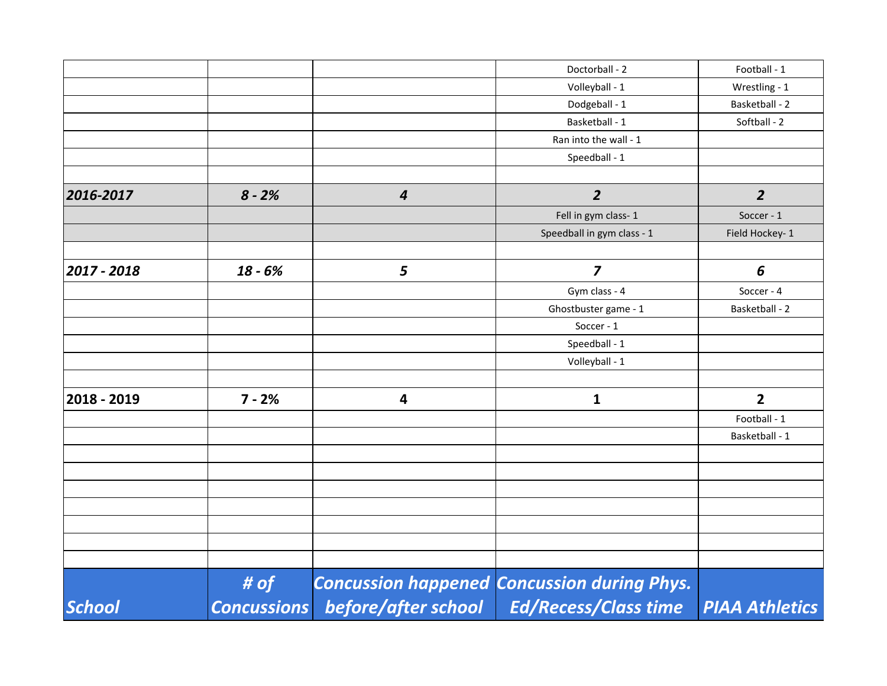| <b>School</b> | # of<br><b>Concussions</b> | before/after school | <b>Concussion happened Concussion during Phys.</b><br><b>Ed/Recess/Class time</b> | PIAA Athletics  |
|---------------|----------------------------|---------------------|-----------------------------------------------------------------------------------|-----------------|
|               |                            |                     |                                                                                   |                 |
|               |                            |                     |                                                                                   |                 |
|               |                            |                     |                                                                                   |                 |
|               |                            |                     |                                                                                   |                 |
|               |                            |                     |                                                                                   |                 |
|               |                            |                     |                                                                                   |                 |
|               |                            |                     |                                                                                   | Basketball - 1  |
|               |                            |                     |                                                                                   | Football - 1    |
| 2018 - 2019   | $7 - 2%$                   | 4                   | $\mathbf{1}$                                                                      | $\overline{2}$  |
|               |                            |                     | Volleyball - 1                                                                    |                 |
|               |                            |                     | Speedball - 1                                                                     |                 |
|               |                            |                     | Soccer - 1                                                                        |                 |
|               |                            |                     | Ghostbuster game - 1                                                              | Basketball - 2  |
|               |                            |                     | Gym class - 4                                                                     | Soccer - 4      |
| 2017 - 2018   | $18 - 6%$                  | 5                   | $\overline{\mathbf{z}}$                                                           | 6               |
|               |                            |                     | Speedball in gym class - 1                                                        | Field Hockey- 1 |
|               |                            |                     | Fell in gym class-1                                                               | Soccer - 1      |
| 2016-2017     | $8 - 2%$                   | $\boldsymbol{4}$    | $\overline{2}$                                                                    | $\overline{2}$  |
|               |                            |                     | Speedball - 1                                                                     |                 |
|               |                            |                     | Ran into the wall - 1                                                             |                 |
|               |                            |                     | Basketball - 1                                                                    | Softball - 2    |
|               |                            |                     | Dodgeball - 1                                                                     | Basketball - 2  |
|               |                            |                     | Volleyball - 1                                                                    | Wrestling - 1   |
|               |                            |                     | Doctorball - 2                                                                    | Football - 1    |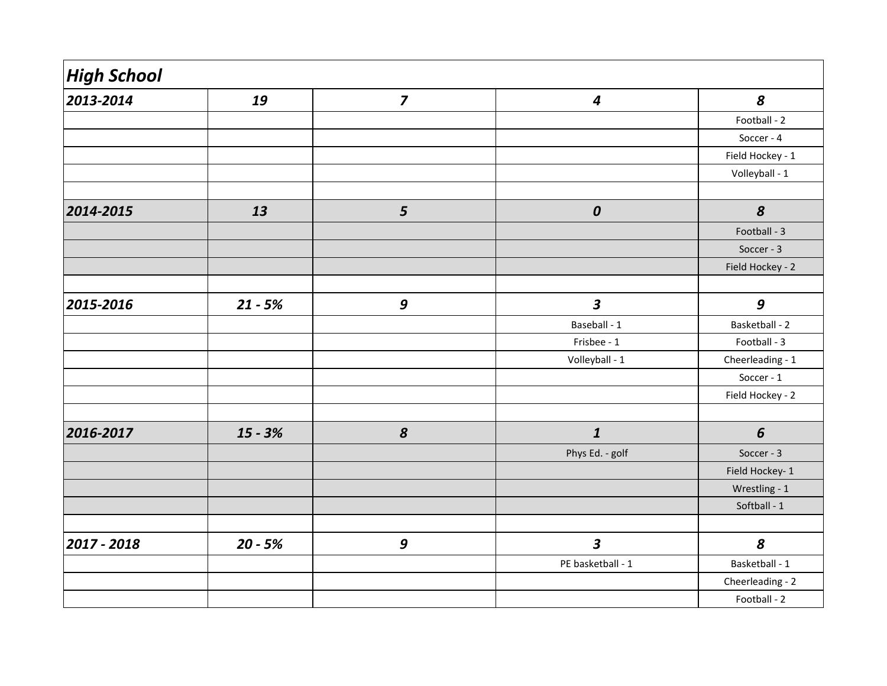| <b>High School</b> |           |                         |                         |                  |
|--------------------|-----------|-------------------------|-------------------------|------------------|
| 2013-2014          | 19        | $\overline{\mathbf{z}}$ | $\boldsymbol{4}$        | 8                |
|                    |           |                         |                         | Football - 2     |
|                    |           |                         |                         | Soccer - 4       |
|                    |           |                         |                         | Field Hockey - 1 |
|                    |           |                         |                         | Volleyball - 1   |
|                    |           |                         |                         |                  |
| 2014-2015          | 13        | $\overline{\mathbf{5}}$ | $\boldsymbol{0}$        | $\boldsymbol{8}$ |
|                    |           |                         |                         | Football - 3     |
|                    |           |                         |                         | Soccer - 3       |
|                    |           |                         |                         | Field Hockey - 2 |
|                    |           |                         |                         |                  |
| 2015-2016          | $21 - 5%$ | $\boldsymbol{9}$        | $\overline{\mathbf{3}}$ | $\boldsymbol{9}$ |
|                    |           |                         | Baseball - 1            | Basketball - 2   |
|                    |           |                         | Frisbee - 1             | Football - 3     |
|                    |           |                         | Volleyball - 1          | Cheerleading - 1 |
|                    |           |                         |                         | Soccer - 1       |
|                    |           |                         |                         | Field Hockey - 2 |
|                    |           |                         |                         |                  |
| 2016-2017          | $15 - 3%$ | $\boldsymbol{8}$        | $\boldsymbol{1}$        | 6                |
|                    |           |                         | Phys Ed. - golf         | Soccer - 3       |
|                    |           |                         |                         | Field Hockey- 1  |
|                    |           |                         |                         | Wrestling - 1    |
|                    |           |                         |                         | Softball - 1     |
|                    |           |                         |                         |                  |
| 2017 - 2018        | $20 - 5%$ | $\boldsymbol{9}$        | $\overline{\mathbf{3}}$ | $\boldsymbol{8}$ |
|                    |           |                         | PE basketball - 1       | Basketball - 1   |
|                    |           |                         |                         | Cheerleading - 2 |
|                    |           |                         |                         | Football - 2     |